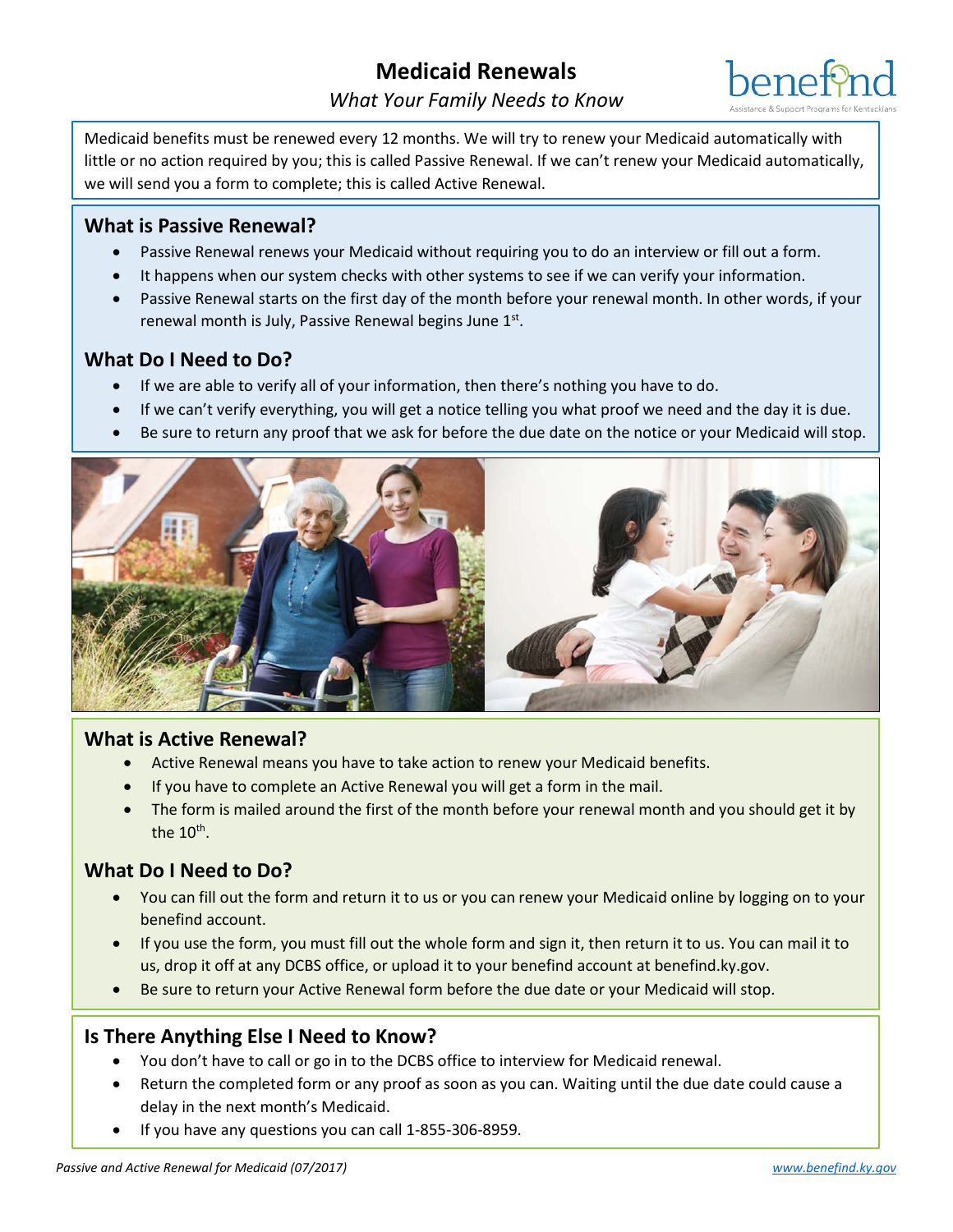

Medicaid benefits must be renewed every 12 months. We will try to renew your Medicaid automatically with little or no action required by you; this is called Passive Renewal. If we can't renew your Medicaid automatically, we will send you a form to complete; this is called Active Renewal.

# **What is Passive Renewal?**

- Passive Renewal renews your Medicaid without requiring you to do an interview or fill out a form.
- It happens when our system checks with other systems to see if we can verify your information.
- Passive Renewal starts on the first day of the month before your renewal month. In other words, if your renewal month is July, Passive Renewal begins June 1st.

# **What Do I Need to Do?**

- If we are able to verify all of your information, then there's nothing you have to do.
- If we can't verify everything, you will get a notice telling you what proof we need and the day it is due.
- Be sure to return any proof that we ask for before the due date on the notice or your Medicaid will stop.



# **What is Active Renewal?**

- Active Renewal means you have to take action to renew your Medicaid benefits.
- If you have to complete an Active Renewal you will get a form in the mail.
- The form is mailed around the first of the month before your renewal month and you should get it by the  $10^{th}$ .

# **What Do I Need to Do?**

- You can fill out the form and return it to us or you can renew your Medicaid online by logging on to your benefind account.
- If you use the form, you must fill out the whole form and sign it, then return it to us. You can mail it to us, drop it off at any DCBS office, or upload it to your benefind account at benefind.ky.gov.
- Be sure to return your Active Renewal form before the due date or your Medicaid will stop.

# **Is There Anything Else I Need to Know?**

- You don't have to call or go in to the DCBS office to interview for Medicaid renewal.
- Return the completed form or any proof as soon as you can. Waiting until the due date could cause a delay in the next month's Medicaid.
- If you have any questions you can call 1-855-306-8959.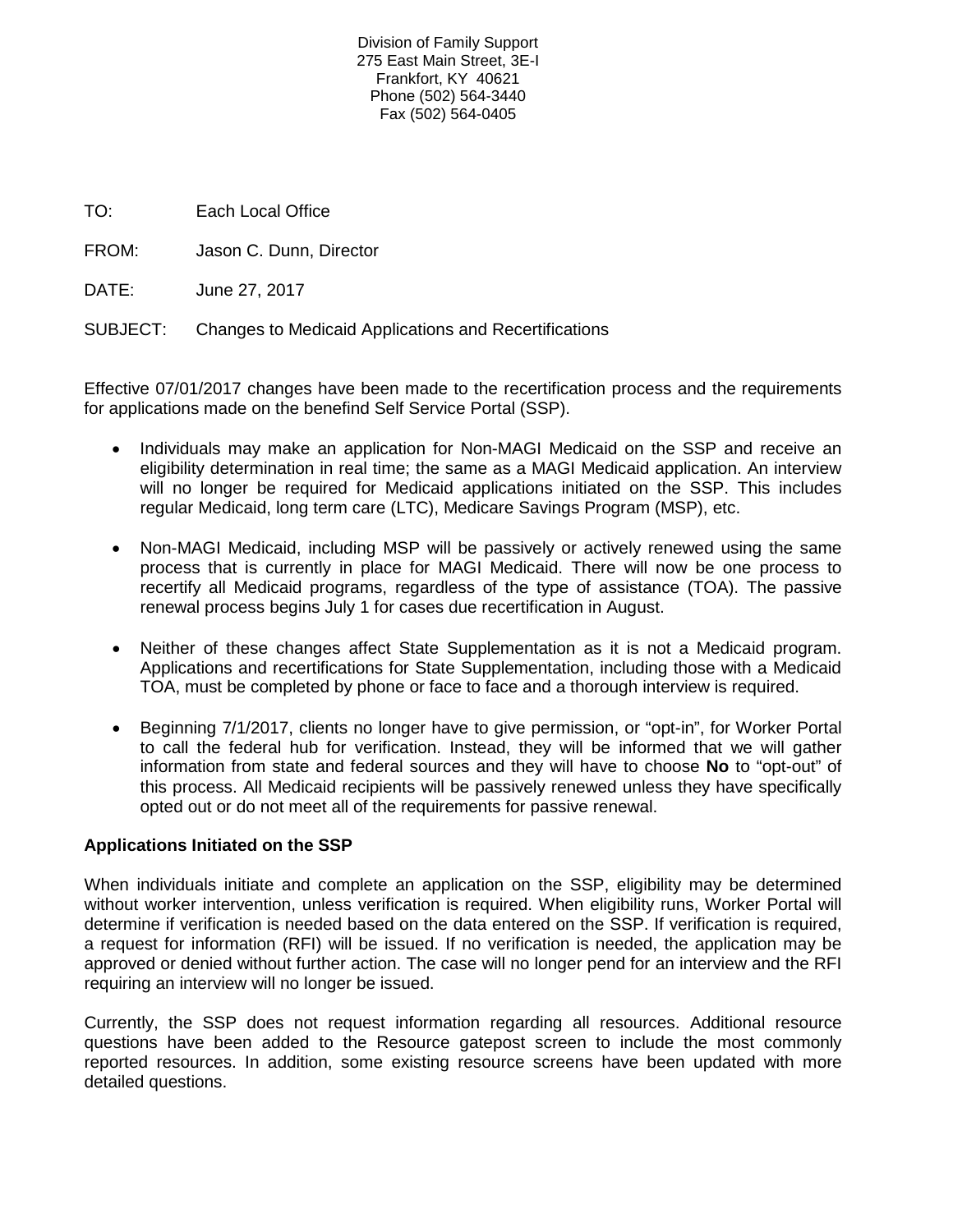Division of Family Support 275 East Main Street, 3E-I Frankfort, KY 40621 Phone (502) 564-3440 Fax (502) 564-0405

TO: Each Local Office

FROM: Jason C. Dunn, Director

DATE: June 27, 2017

SUBJECT: Changes to Medicaid Applications and Recertifications

Effective 07/01/2017 changes have been made to the recertification process and the requirements for applications made on the benefind Self Service Portal (SSP).

- Individuals may make an application for Non-MAGI Medicaid on the SSP and receive an eligibility determination in real time; the same as a MAGI Medicaid application. An interview will no longer be required for Medicaid applications initiated on the SSP. This includes regular Medicaid, long term care (LTC), Medicare Savings Program (MSP), etc.
- Non-MAGI Medicaid, including MSP will be passively or actively renewed using the same process that is currently in place for MAGI Medicaid. There will now be one process to recertify all Medicaid programs, regardless of the type of assistance (TOA). The passive renewal process begins July 1 for cases due recertification in August.
- Neither of these changes affect State Supplementation as it is not a Medicaid program. Applications and recertifications for State Supplementation, including those with a Medicaid TOA, must be completed by phone or face to face and a thorough interview is required.
- Beginning 7/1/2017, clients no longer have to give permission, or "opt-in", for Worker Portal to call the federal hub for verification. Instead, they will be informed that we will gather information from state and federal sources and they will have to choose **No** to "opt-out" of this process. All Medicaid recipients will be passively renewed unless they have specifically opted out or do not meet all of the requirements for passive renewal.

# **Applications Initiated on the SSP**

When individuals initiate and complete an application on the SSP, eligibility may be determined without worker intervention, unless verification is required. When eligibility runs, Worker Portal will determine if verification is needed based on the data entered on the SSP. If verification is required, a request for information (RFI) will be issued. If no verification is needed, the application may be approved or denied without further action. The case will no longer pend for an interview and the RFI requiring an interview will no longer be issued.

Currently, the SSP does not request information regarding all resources. Additional resource questions have been added to the Resource gatepost screen to include the most commonly reported resources. In addition, some existing resource screens have been updated with more detailed questions.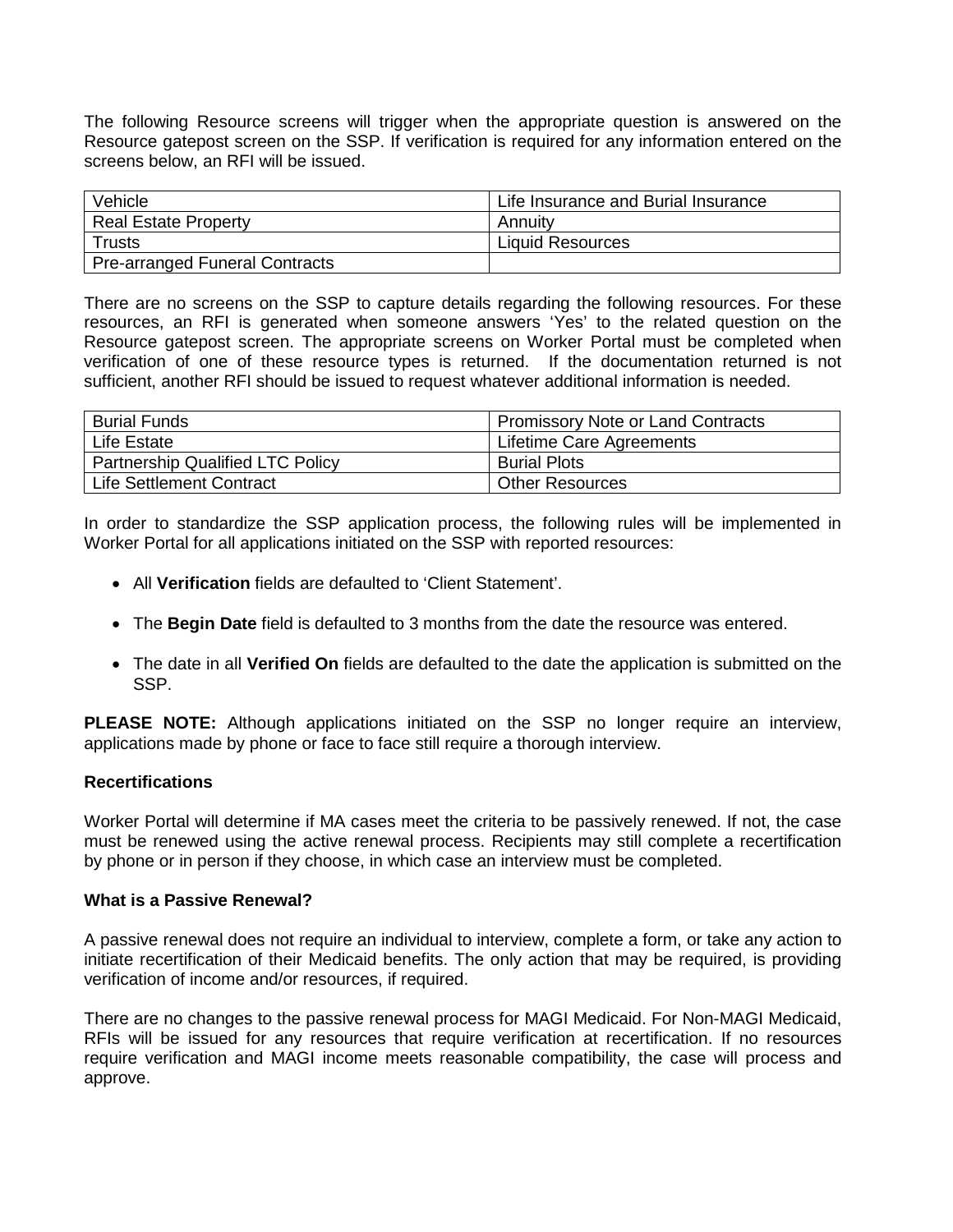The following Resource screens will trigger when the appropriate question is answered on the Resource gatepost screen on the SSP. If verification is required for any information entered on the screens below, an RFI will be issued.

| Vehicle                        | Life Insurance and Burial Insurance |
|--------------------------------|-------------------------------------|
| <b>Real Estate Property</b>    | Annuitv                             |
| <b>Trusts</b>                  | <b>Liquid Resources</b>             |
| Pre-arranged Funeral Contracts |                                     |

There are no screens on the SSP to capture details regarding the following resources. For these resources, an RFI is generated when someone answers 'Yes' to the related question on the Resource gatepost screen. The appropriate screens on Worker Portal must be completed when verification of one of these resource types is returned. If the documentation returned is not sufficient, another RFI should be issued to request whatever additional information is needed.

| <b>Burial Funds</b>                     | <b>Promissory Note or Land Contracts</b> |
|-----------------------------------------|------------------------------------------|
| Life Estate                             | Lifetime Care Agreements                 |
| <b>Partnership Qualified LTC Policy</b> | <b>Burial Plots</b>                      |
| Life Settlement Contract                | <b>Other Resources</b>                   |

In order to standardize the SSP application process, the following rules will be implemented in Worker Portal for all applications initiated on the SSP with reported resources:

- All **Verification** fields are defaulted to 'Client Statement'.
- The **Begin Date** field is defaulted to 3 months from the date the resource was entered.
- The date in all **Verified On** fields are defaulted to the date the application is submitted on the SSP.

**PLEASE NOTE:** Although applications initiated on the SSP no longer require an interview, applications made by phone or face to face still require a thorough interview.

# **Recertifications**

Worker Portal will determine if MA cases meet the criteria to be passively renewed. If not, the case must be renewed using the active renewal process. Recipients may still complete a recertification by phone or in person if they choose, in which case an interview must be completed.

# **What is a Passive Renewal?**

A passive renewal does not require an individual to interview, complete a form, or take any action to initiate recertification of their Medicaid benefits. The only action that may be required, is providing verification of income and/or resources, if required.

There are no changes to the passive renewal process for MAGI Medicaid. For Non-MAGI Medicaid, RFIs will be issued for any resources that require verification at recertification. If no resources require verification and MAGI income meets reasonable compatibility, the case will process and approve.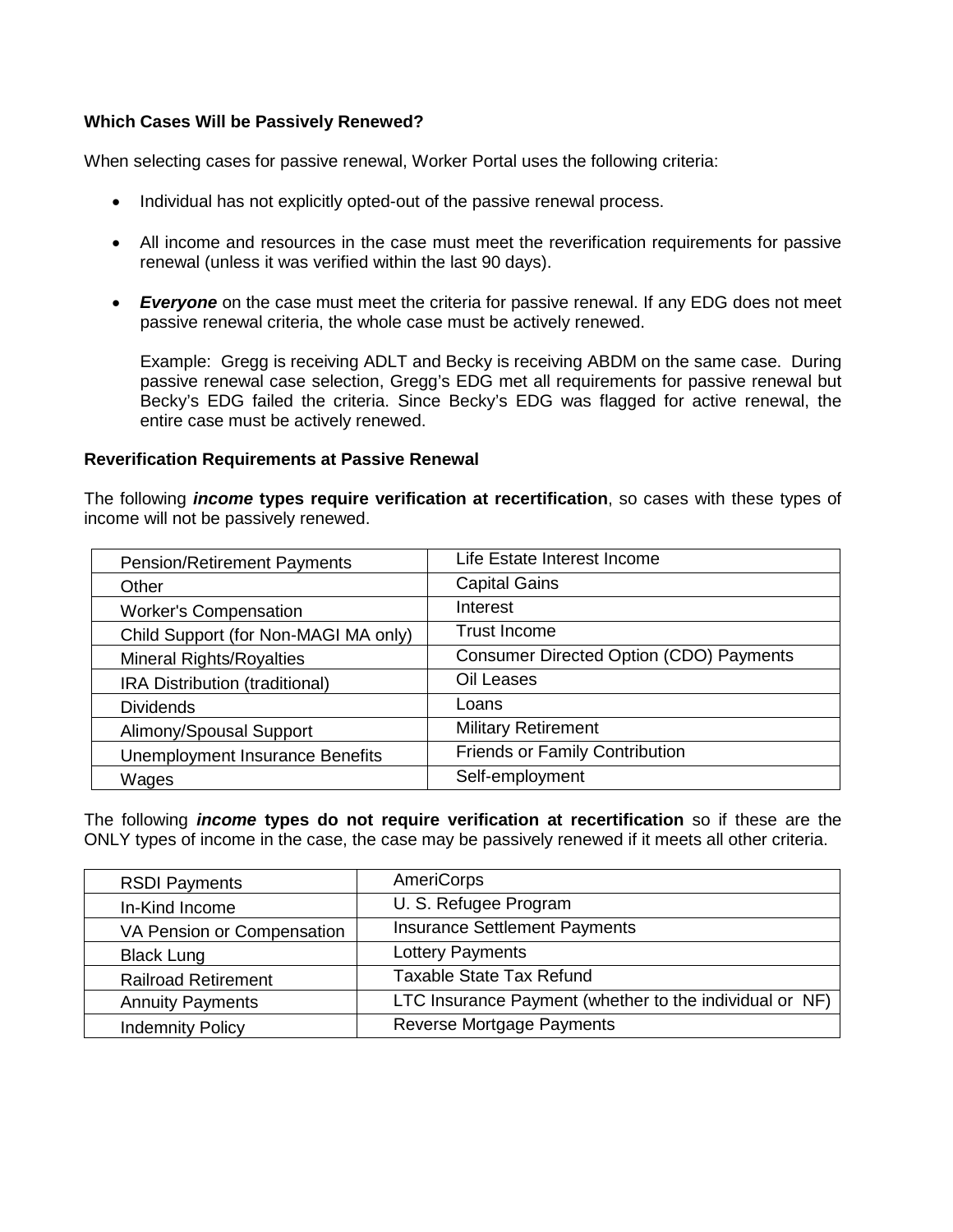# **Which Cases Will be Passively Renewed?**

When selecting cases for passive renewal, Worker Portal uses the following criteria:

- Individual has not explicitly opted-out of the passive renewal process.
- All income and resources in the case must meet the reverification requirements for passive renewal (unless it was verified within the last 90 days).
- **Everyone** on the case must meet the criteria for passive renewal. If any EDG does not meet passive renewal criteria, the whole case must be actively renewed.

Example: Gregg is receiving ADLT and Becky is receiving ABDM on the same case. During passive renewal case selection, Gregg's EDG met all requirements for passive renewal but Becky's EDG failed the criteria. Since Becky's EDG was flagged for active renewal, the entire case must be actively renewed.

# **Reverification Requirements at Passive Renewal**

The following *income* **types require verification at recertification**, so cases with these types of income will not be passively renewed.

| <b>Pension/Retirement Payments</b>     | Life Estate Interest Income                    |
|----------------------------------------|------------------------------------------------|
| Other                                  | <b>Capital Gains</b>                           |
| <b>Worker's Compensation</b>           | Interest                                       |
| Child Support (for Non-MAGI MA only)   | <b>Trust Income</b>                            |
| <b>Mineral Rights/Royalties</b>        | <b>Consumer Directed Option (CDO) Payments</b> |
| IRA Distribution (traditional)         | Oil Leases                                     |
| <b>Dividends</b>                       | Loans                                          |
| Alimony/Spousal Support                | <b>Military Retirement</b>                     |
| <b>Unemployment Insurance Benefits</b> | <b>Friends or Family Contribution</b>          |
| Wages                                  | Self-employment                                |

The following *income* **types do not require verification at recertification** so if these are the ONLY types of income in the case, the case may be passively renewed if it meets all other criteria.

| <b>RSDI Payments</b>       | AmeriCorps                                              |
|----------------------------|---------------------------------------------------------|
| In-Kind Income             | U. S. Refugee Program                                   |
| VA Pension or Compensation | <b>Insurance Settlement Payments</b>                    |
| <b>Black Lung</b>          | Lottery Payments                                        |
| <b>Railroad Retirement</b> | <b>Taxable State Tax Refund</b>                         |
| <b>Annuity Payments</b>    | LTC Insurance Payment (whether to the individual or NF) |
| <b>Indemnity Policy</b>    | Reverse Mortgage Payments                               |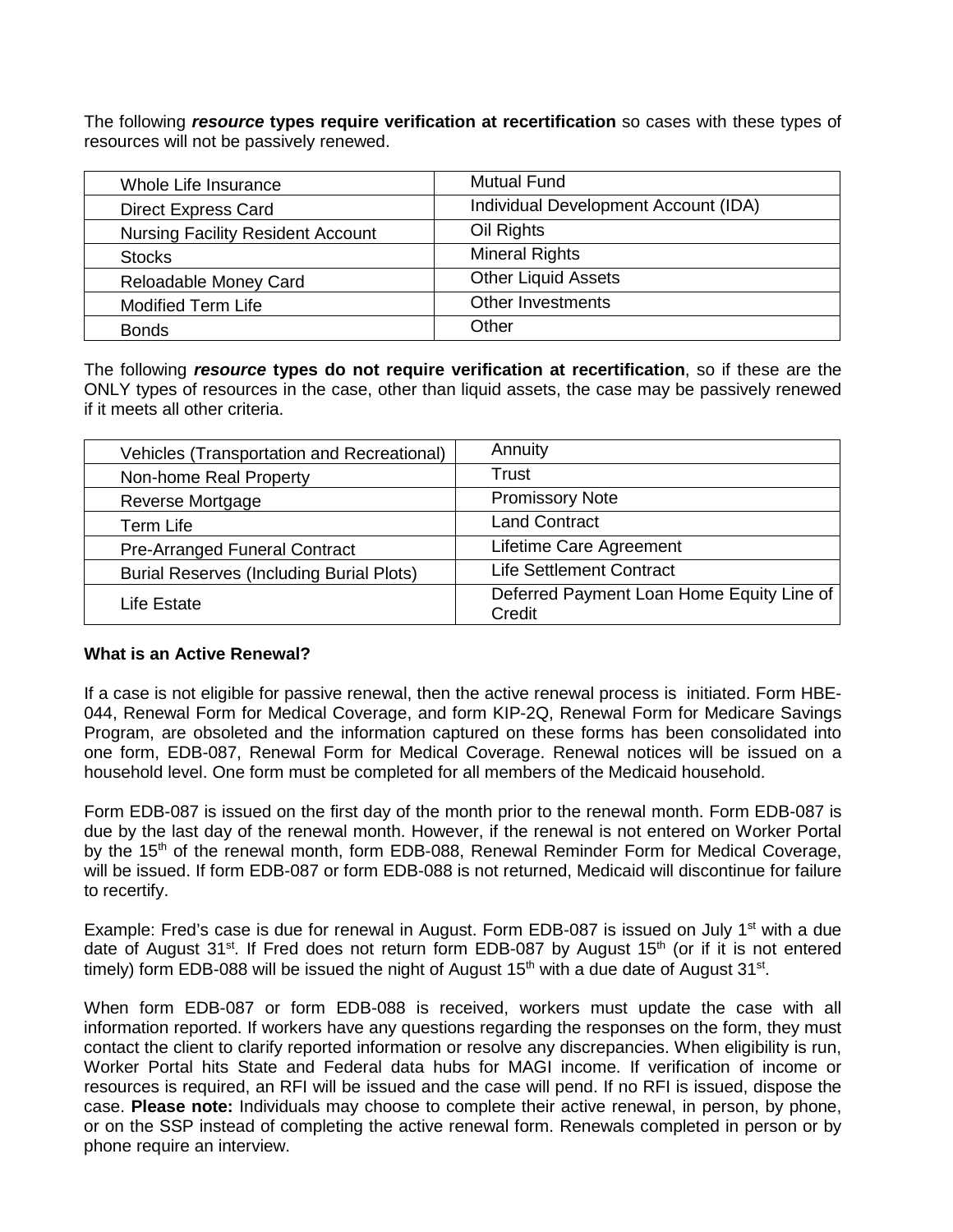The following *resource* **types require verification at recertification** so cases with these types of resources will not be passively renewed.

| Whole Life Insurance                     | <b>Mutual Fund</b>                   |
|------------------------------------------|--------------------------------------|
| <b>Direct Express Card</b>               | Individual Development Account (IDA) |
| <b>Nursing Facility Resident Account</b> | Oil Rights                           |
| <b>Stocks</b>                            | <b>Mineral Rights</b>                |
| Reloadable Money Card                    | <b>Other Liquid Assets</b>           |
| <b>Modified Term Life</b>                | Other Investments                    |
| <b>Bonds</b>                             | Other                                |

The following *resource* **types do not require verification at recertification**, so if these are the ONLY types of resources in the case, other than liquid assets, the case may be passively renewed if it meets all other criteria.

| Vehicles (Transportation and Recreational)      | Annuity                                             |
|-------------------------------------------------|-----------------------------------------------------|
| Non-home Real Property                          | Trust                                               |
| Reverse Mortgage                                | <b>Promissory Note</b>                              |
| Term Life                                       | <b>Land Contract</b>                                |
| <b>Pre-Arranged Funeral Contract</b>            | Lifetime Care Agreement                             |
| <b>Burial Reserves (Including Burial Plots)</b> | <b>Life Settlement Contract</b>                     |
| Life Estate                                     | Deferred Payment Loan Home Equity Line of<br>Credit |

# **What is an Active Renewal?**

If a case is not eligible for passive renewal, then the active renewal process is initiated. Form HBE-044, Renewal Form for Medical Coverage, and form KIP-2Q, Renewal Form for Medicare Savings Program, are obsoleted and the information captured on these forms has been consolidated into one form, EDB-087, Renewal Form for Medical Coverage. Renewal notices will be issued on a household level. One form must be completed for all members of the Medicaid household.

Form EDB-087 is issued on the first day of the month prior to the renewal month. Form EDB-087 is due by the last day of the renewal month. However, if the renewal is not entered on Worker Portal by the 15<sup>th</sup> of the renewal month, form EDB-088, Renewal Reminder Form for Medical Coverage, will be issued. If form EDB-087 or form EDB-088 is not returned, Medicaid will discontinue for failure to recertify.

Example: Fred's case is due for renewal in August. Form EDB-087 is issued on July 1<sup>st</sup> with a due date of August 31<sup>st</sup>. If Fred does not return form EDB-087 by August 15<sup>th</sup> (or if it is not entered timely) form EDB-088 will be issued the night of August  $15<sup>th</sup>$  with a due date of August  $31<sup>st</sup>$ .

When form EDB-087 or form EDB-088 is received, workers must update the case with all information reported. If workers have any questions regarding the responses on the form, they must contact the client to clarify reported information or resolve any discrepancies. When eligibility is run, Worker Portal hits State and Federal data hubs for MAGI income. If verification of income or resources is required, an RFI will be issued and the case will pend. If no RFI is issued, dispose the case. **Please note:** Individuals may choose to complete their active renewal, in person, by phone, or on the SSP instead of completing the active renewal form. Renewals completed in person or by phone require an interview.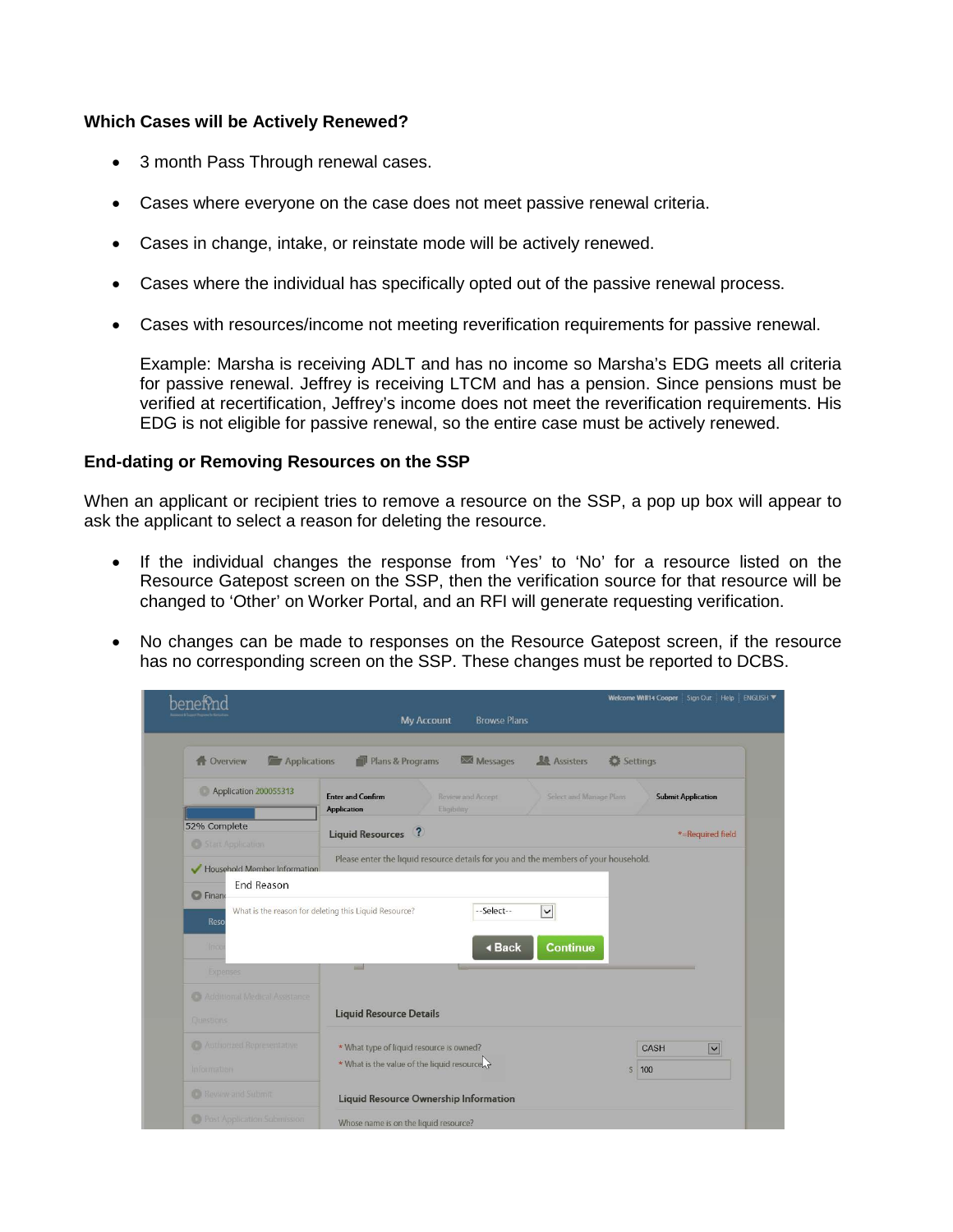# **Which Cases will be Actively Renewed?**

- 3 month Pass Through renewal cases.
- Cases where everyone on the case does not meet passive renewal criteria.
- Cases in change, intake, or reinstate mode will be actively renewed.
- Cases where the individual has specifically opted out of the passive renewal process.
- Cases with resources/income not meeting reverification requirements for passive renewal.

Example: Marsha is receiving ADLT and has no income so Marsha's EDG meets all criteria for passive renewal. Jeffrey is receiving LTCM and has a pension. Since pensions must be verified at recertification, Jeffrey's income does not meet the reverification requirements. His EDG is not eligible for passive renewal, so the entire case must be actively renewed.

# **End-dating or Removing Resources on the SSP**

When an applicant or recipient tries to remove a resource on the SSP, a pop up box will appear to ask the applicant to select a reason for deleting the resource.

- If the individual changes the response from 'Yes' to 'No' for a resource listed on the Resource Gatepost screen on the SSP, then the verification source for that resource will be changed to 'Other' on Worker Portal, and an RFI will generate requesting verification.
- No changes can be made to responses on the Resource Gatepost screen, if the resource has no corresponding screen on the SSP. These changes must be reported to DCBS.

|                                      | <b>My Account</b><br><b>Browse Plans</b>                                            | Welcome Will14 Cooper Sign Out Help ENGLISH          |
|--------------------------------------|-------------------------------------------------------------------------------------|------------------------------------------------------|
|                                      |                                                                                     |                                                      |
| <b>Applications</b><br>Overview      | Plans & Programs<br>Messages                                                        | <b>Assisters</b><br>Settings                         |
| Application 200055313                | <b>Enter and Confirm</b><br>Review and Accept<br><b>Application</b><br>Eligibility  | Select and Manage Plans<br><b>Submit Application</b> |
| 52% Complete<br>Start Application    | $\sqrt{2}$<br><b>Liquid Resources</b>                                               | *=Required field                                     |
| Household Member Information         | Please enter the liquid resource details for you and the members of your household. |                                                      |
| <b>End Reason</b>                    |                                                                                     |                                                      |
| <b>C</b> Finand<br>Reso              | What is the reason for deleting this Liquid Resource?<br>--Select--                 | $\checkmark$                                         |
| lings                                | <b>∢Back</b>                                                                        | <b>Continue</b>                                      |
| <b>Expenses</b>                      | шd                                                                                  |                                                      |
| C. Additional Medical Assistance     |                                                                                     |                                                      |
| Questions                            | <b>Liquid Resource Details</b>                                                      |                                                      |
| C) Authorized Representative         | * What type of liquid resource is owned?                                            | $\overline{\mathbf{v}}$<br><b>CASH</b>               |
| Information                          | * What is the value of the liquid resource                                          | $\mathsf{S}$<br>100                                  |
| <b>C</b> Review and Submit           | <b>Liquid Resource Ownership Information</b>                                        |                                                      |
| <b>C</b> Post Application Submission | Whose name is on the liquid resource?                                               |                                                      |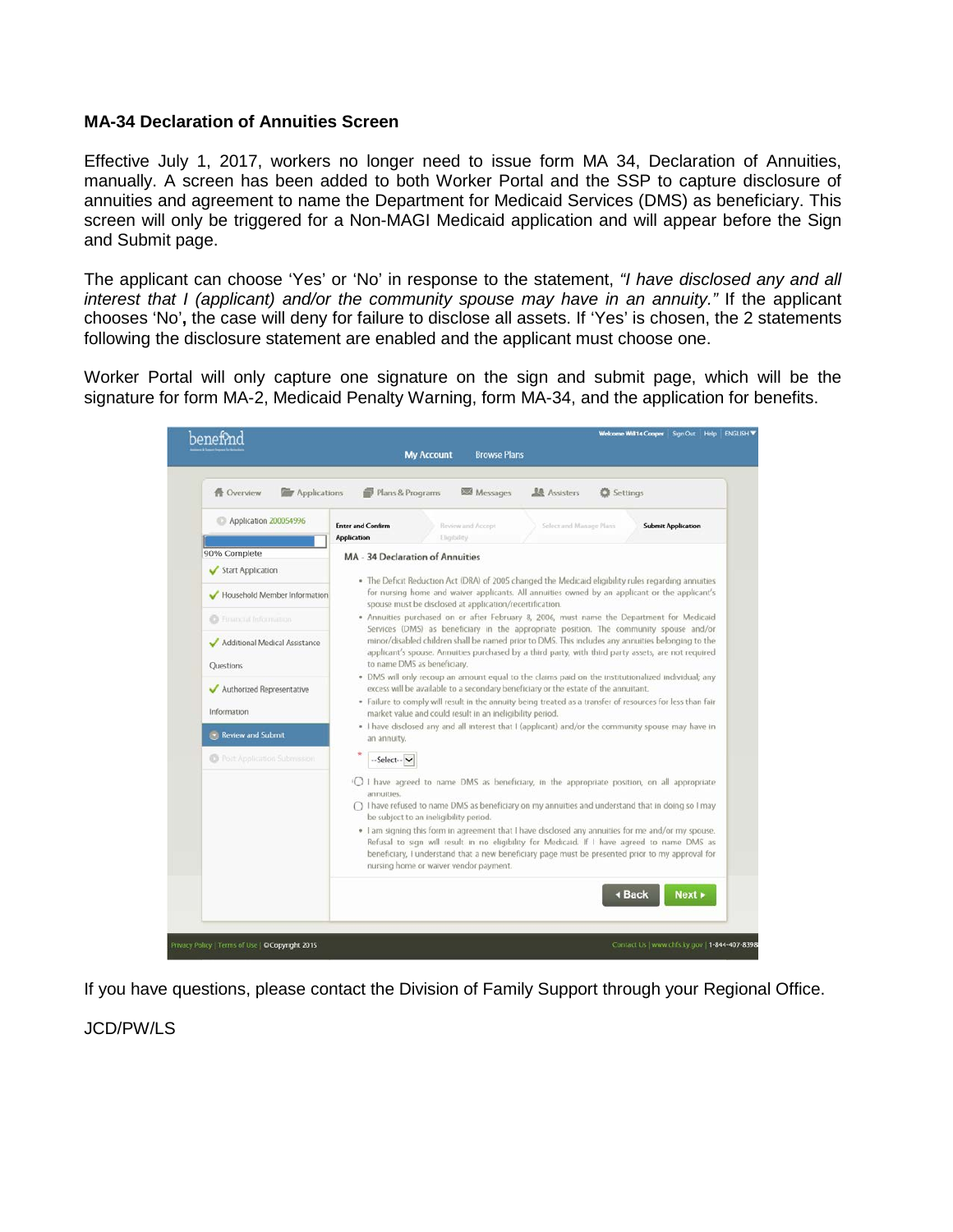# **MA-34 Declaration of Annuities Screen**

Effective July 1, 2017, workers no longer need to issue form MA 34, Declaration of Annuities, manually. A screen has been added to both Worker Portal and the SSP to capture disclosure of annuities and agreement to name the Department for Medicaid Services (DMS) as beneficiary. This screen will only be triggered for a Non-MAGI Medicaid application and will appear before the Sign and Submit page.

The applicant can choose 'Yes' or 'No' in response to the statement, *"I have disclosed any and all interest that I (applicant) and/or the community spouse may have in an annuity."* If the applicant chooses 'No'**,** the case will deny for failure to disclose all assets. If 'Yes' is chosen, the 2 statements following the disclosure statement are enabled and the applicant must choose one.

Worker Portal will only capture one signature on the sign and submit page, which will be the signature for form MA-2, Medicaid Penalty Warning, form MA-34, and the application for benefits.



If you have questions, please contact the Division of Family Support through your Regional Office.

JCD/PW/LS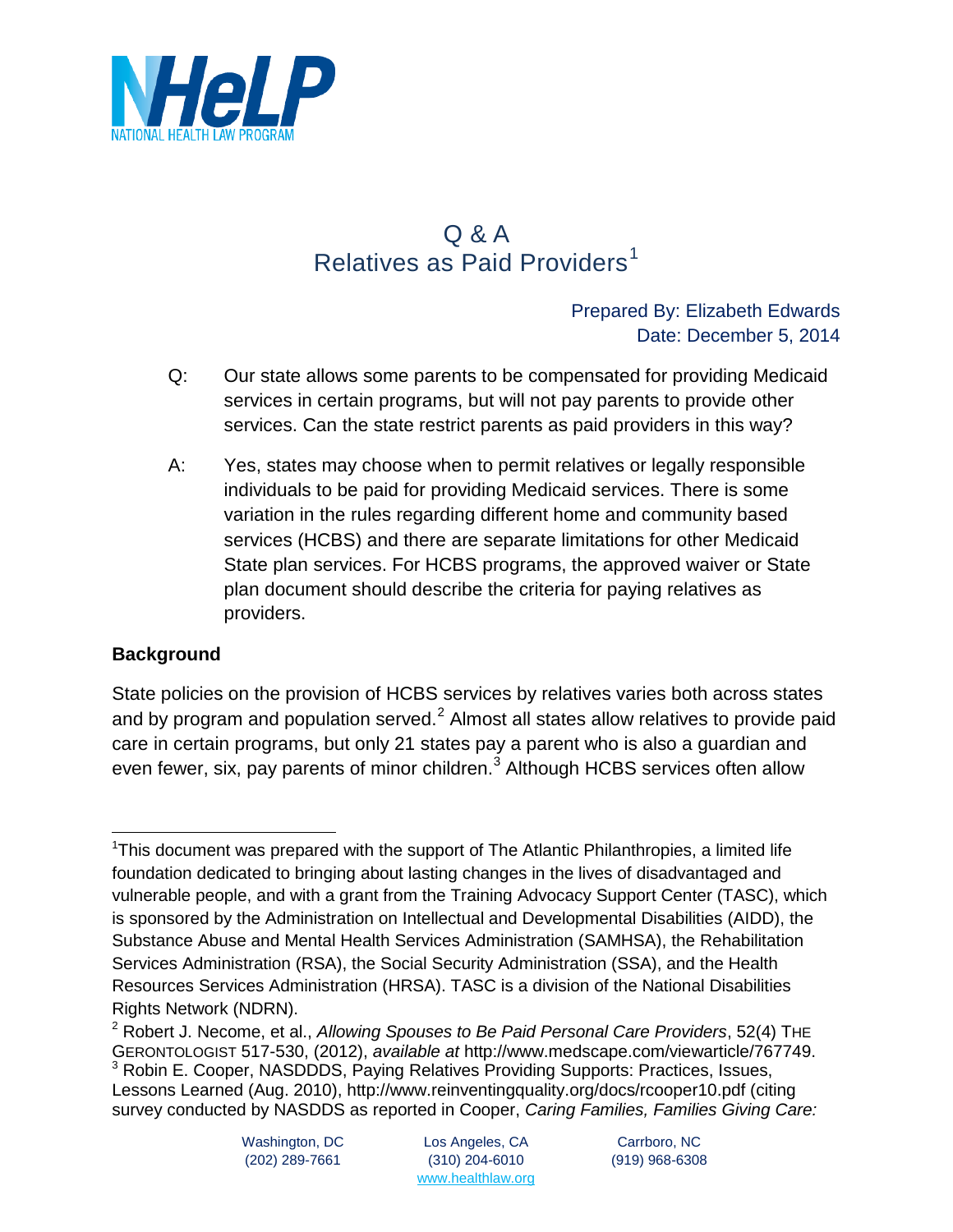

# Q & A Relatives as Paid Providers<sup>[1](#page-7-0)</sup>

# Prepared By: Elizabeth Edwards Date: December 5, 2014

- Q: Our state allows some parents to be compensated for providing Medicaid services in certain programs, but will not pay parents to provide other services. Can the state restrict parents as paid providers in this way?
- A: Yes, states may choose when to permit relatives or legally responsible individuals to be paid for providing Medicaid services. There is some variation in the rules regarding different home and community based services (HCBS) and there are separate limitations for other Medicaid State plan services. For HCBS programs, the approved waiver or State plan document should describe the criteria for paying relatives as providers.

# **Background**

State policies on the provision of HCBS services by relatives varies both across states and by program and population served. $2$  Almost all states allow relatives to provide paid care in certain programs, but only 21 states pay a parent who is also a guardian and even fewer, six, pay parents of minor children.<sup>[3](#page-7-2)</sup> Although HCBS services often allow

<span id="page-7-0"></span><sup>&</sup>lt;sup>1</sup>This document was prepared with the support of The Atlantic Philanthropies, a limited life foundation dedicated to bringing about lasting changes in the lives of disadvantaged and vulnerable people, and with a grant from the Training Advocacy Support Center (TASC), which is sponsored by the Administration on Intellectual and Developmental Disabilities (AIDD), the Substance Abuse and Mental Health Services Administration (SAMHSA), the Rehabilitation Services Administration (RSA), the Social Security Administration (SSA), and the Health Resources Services Administration (HRSA). TASC is a division of the National Disabilities Rights Network (NDRN).  $\overline{a}$ 

<span id="page-7-2"></span><span id="page-7-1"></span><sup>2</sup> Robert J. Necome, et al., *Allowing Spouses to Be Paid Personal Care Providers*, 52(4) THE GERONTOLOGIST 517-530, (2012), *available at* http://www.medscape.com/viewarticle/767749. <sup>3</sup> Robin E. Cooper, NASDDDS, Paying Relatives Providing Supports: Practices, Issues, Lessons Learned (Aug. 2010), http://www.reinventingquality.org/docs/rcooper10.pdf (citing survey conducted by NASDDS as reported in Cooper, *Caring Families, Families Giving Care:*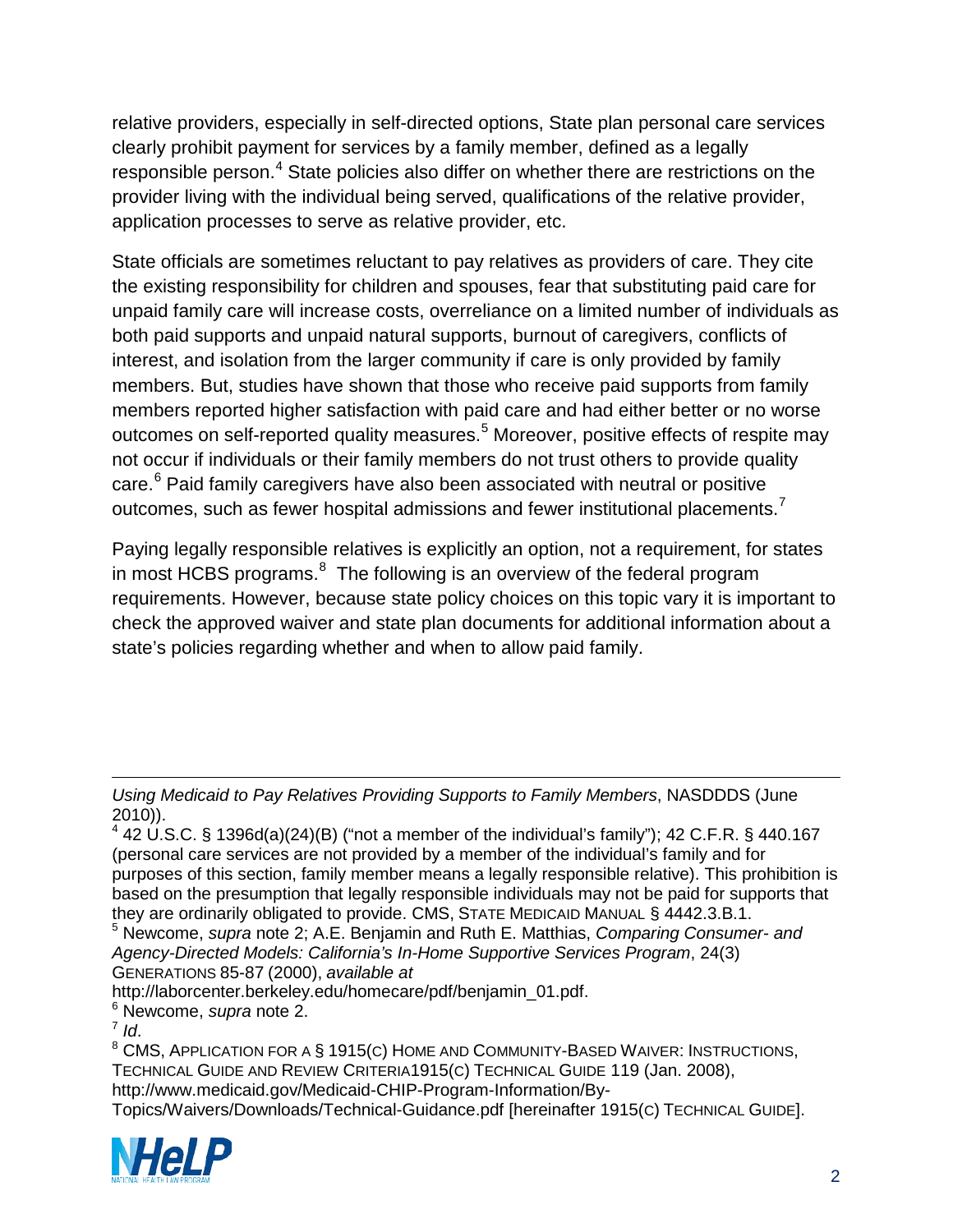relative providers, especially in self-directed options, State plan personal care services clearly prohibit payment for services by a family member, defined as a legally responsible person.<sup>[4](#page-8-0)</sup> State policies also differ on whether there are restrictions on the provider living with the individual being served, qualifications of the relative provider, application processes to serve as relative provider, etc.

State officials are sometimes reluctant to pay relatives as providers of care. They cite the existing responsibility for children and spouses, fear that substituting paid care for unpaid family care will increase costs, overreliance on a limited number of individuals as both paid supports and unpaid natural supports, burnout of caregivers, conflicts of interest, and isolation from the larger community if care is only provided by family members. But, studies have shown that those who receive paid supports from family members reported higher satisfaction with paid care and had either better or no worse outcomes on self-reported quality measures.<sup>[5](#page-8-1)</sup> Moreover, positive effects of respite may not occur if individuals or their family members do not trust others to provide quality care.<sup>[6](#page-8-2)</sup> Paid family caregivers have also been associated with neutral or positive outcomes, such as fewer hospital admissions and fewer institutional placements.<sup>[7](#page-8-3)</sup>

Paying legally responsible relatives is explicitly an option, not a requirement, for states in most HCBS programs. $8$  The following is an overview of the federal program requirements. However, because state policy choices on this topic vary it is important to check the approved waiver and state plan documents for additional information about a state's policies regarding whether and when to allow paid family.

<span id="page-8-2"></span>http://laborcenter.berkeley.edu/homecare/pdf/benjamin\_01.pdf. <sup>6</sup> Newcome, *supra* note 2.

<span id="page-8-4"></span><span id="page-8-3"></span><sup>8</sup> CMS, APPLICATION FOR A § 1915(C) HOME AND COMMUNITY-BASED WAIVER: INSTRUCTIONS, TECHNICAL GUIDE AND REVIEW CRITERIA1915(C) TECHNICAL GUIDE 119 (Jan. 2008), http://www.medicaid.gov/Medicaid-CHIP-Program-Information/By-

Topics/Waivers/Downloads/Technical-Guidance.pdf [hereinafter 1915(C) TECHNICAL GUIDE].



*Using Medicaid to Pay Relatives Providing Supports to Family Members*, NASDDDS (June 2010)).  $\overline{a}$ 

<span id="page-8-0"></span> $4$  42 U.S.C. § 1396d(a)(24)(B) ("not a member of the individual's family"); 42 C.F.R. § 440.167 (personal care services are not provided by a member of the individual's family and for purposes of this section, family member means a legally responsible relative). This prohibition is based on the presumption that legally responsible individuals may not be paid for supports that they are ordinarily obligated to provide. CMS, STATE MEDICAID MANUAL § 4442.3.B.1.

<span id="page-8-1"></span><sup>5</sup> Newcome, *supra* note 2; A.E. Benjamin and Ruth E. Matthias, *Comparing Consumer- and Agency-Directed Models: California's In-Home Supportive Services Program*, 24(3) GENERATIONS 85-87 (2000), *available at*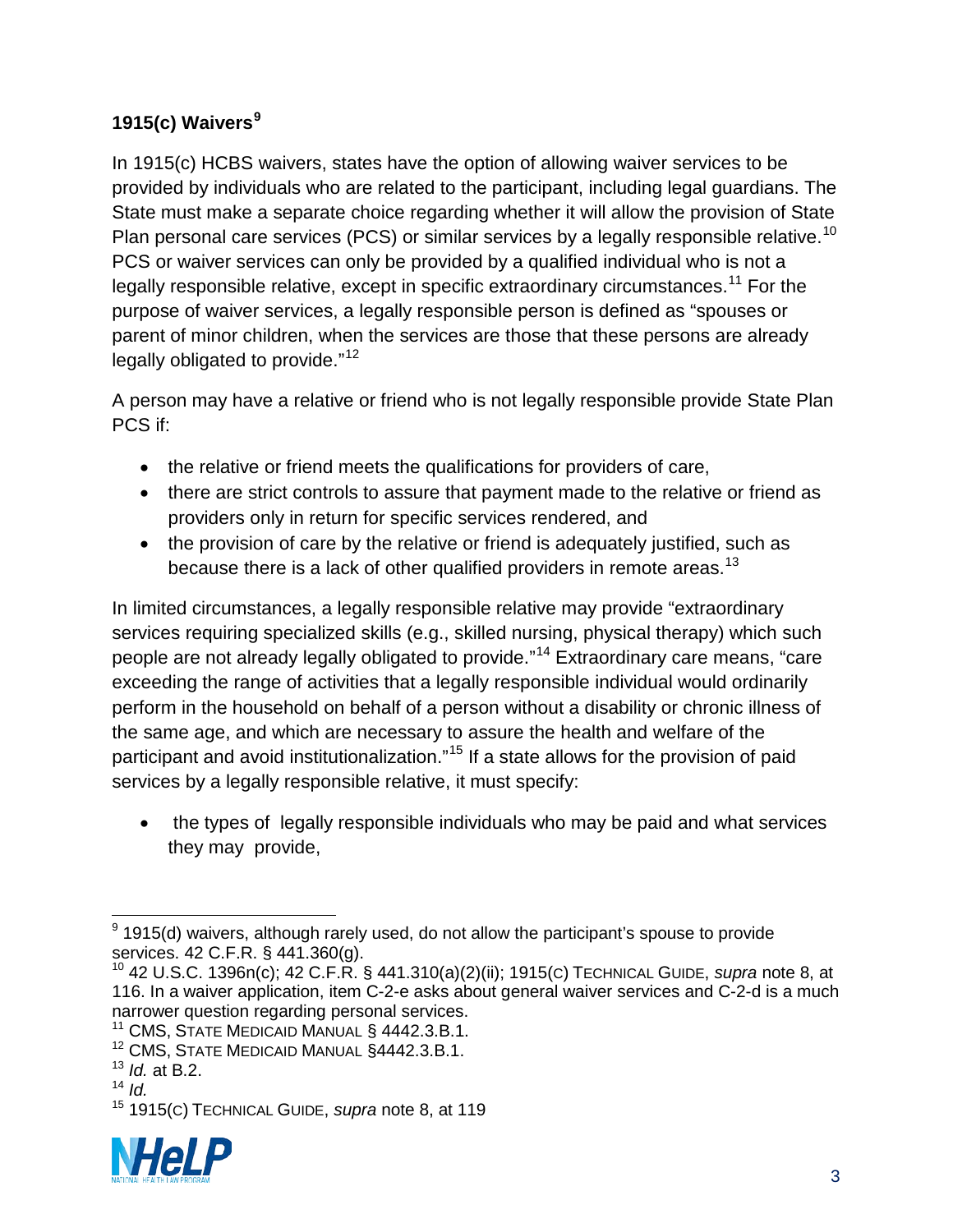# **1915(c) Waivers[9](#page-9-0)**

In 1915(c) HCBS waivers, states have the option of allowing waiver services to be provided by individuals who are related to the participant, including legal guardians. The State must make a separate choice regarding whether it will allow the provision of State Plan personal care services (PCS) or similar services by a legally responsible relative.<sup>[10](#page-9-1)</sup> PCS or waiver services can only be provided by a qualified individual who is not a legally responsible relative, except in specific extraordinary circumstances.<sup>[11](#page-9-2)</sup> For the purpose of waiver services, a legally responsible person is defined as "spouses or parent of minor children, when the services are those that these persons are already legally obligated to provide."<sup>[12](#page-9-3)</sup>

A person may have a relative or friend who is not legally responsible provide State Plan PCS if:

- the relative or friend meets the qualifications for providers of care,
- there are strict controls to assure that payment made to the relative or friend as providers only in return for specific services rendered, and
- the provision of care by the relative or friend is adequately justified, such as because there is a lack of other qualified providers in remote areas.<sup>[13](#page-9-4)</sup>

In limited circumstances, a legally responsible relative may provide "extraordinary services requiring specialized skills (e.g., skilled nursing, physical therapy) which such people are not already legally obligated to provide."<sup>[14](#page-9-5)</sup> Extraordinary care means, "care exceeding the range of activities that a legally responsible individual would ordinarily perform in the household on behalf of a person without a disability or chronic illness of the same age, and which are necessary to assure the health and welfare of the participant and avoid institutionalization."<sup>[15](#page-9-6)</sup> If a state allows for the provision of paid services by a legally responsible relative, it must specify:

• the types of legally responsible individuals who may be paid and what services they may provide,

<span id="page-9-6"></span><span id="page-9-5"></span><span id="page-9-4"></span><sup>15</sup> 1915(C) TECHNICAL GUIDE, *supra* note 8, at 119



<span id="page-9-0"></span> $9$  1915(d) waivers, although rarely used, do not allow the participant's spouse to provide services. 42 C.F.R. § 441.360(g).  $\overline{a}$ 

<span id="page-9-1"></span><sup>10</sup> 42 U.S.C. 1396n(c); 42 C.F.R. § 441.310(a)(2)(ii); 1915(C) TECHNICAL GUIDE, *supra* note 8, at 116. In a waiver application, item C-2-e asks about general waiver services and C-2-d is a much narrower question regarding personal services.

<span id="page-9-2"></span><sup>&</sup>lt;sup>11</sup> CMS, STATE MEDICAID MANUAL § 4442.3.B.1.

<span id="page-9-3"></span><sup>&</sup>lt;sup>12</sup> CMS, STATE MEDICAID MANUAL §4442.3.B.1.

<sup>13</sup> *Id.* at B.2.

<sup>14</sup> *Id.*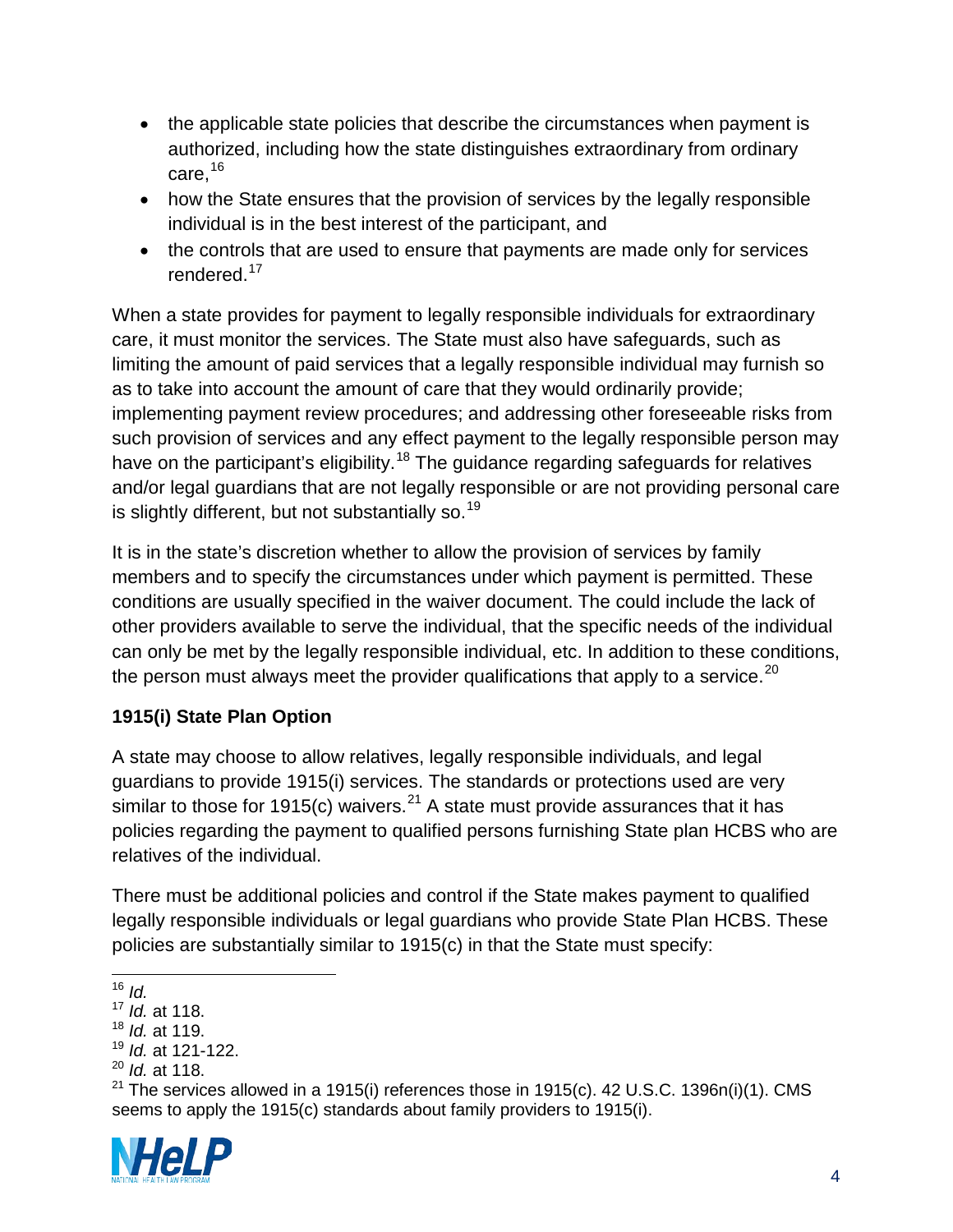- the applicable state policies that describe the circumstances when payment is authorized, including how the state distinguishes extraordinary from ordinary care,[16](#page-10-0)
- how the State ensures that the provision of services by the legally responsible individual is in the best interest of the participant, and
- the controls that are used to ensure that payments are made only for services rendered.<sup>[17](#page-10-1)</sup>

When a state provides for payment to legally responsible individuals for extraordinary care, it must monitor the services. The State must also have safeguards, such as limiting the amount of paid services that a legally responsible individual may furnish so as to take into account the amount of care that they would ordinarily provide; implementing payment review procedures; and addressing other foreseeable risks from such provision of services and any effect payment to the legally responsible person may have on the participant's eligibility.<sup>[18](#page-10-2)</sup> The guidance regarding safeguards for relatives and/or legal guardians that are not legally responsible or are not providing personal care is slightly different, but not substantially so.  $19$ 

It is in the state's discretion whether to allow the provision of services by family members and to specify the circumstances under which payment is permitted. These conditions are usually specified in the waiver document. The could include the lack of other providers available to serve the individual, that the specific needs of the individual can only be met by the legally responsible individual, etc. In addition to these conditions, the person must always meet the provider qualifications that apply to a service.<sup>[20](#page-10-4)</sup>

# **1915(i) State Plan Option**

A state may choose to allow relatives, legally responsible individuals, and legal guardians to provide 1915(i) services. The standards or protections used are very similar to those for 1915(c) waivers.<sup>[21](#page-10-5)</sup> A state must provide assurances that it has policies regarding the payment to qualified persons furnishing State plan HCBS who are relatives of the individual.

There must be additional policies and control if the State makes payment to qualified legally responsible individuals or legal guardians who provide State Plan HCBS. These policies are substantially similar to 1915(c) in that the State must specify:

<span id="page-10-5"></span><span id="page-10-4"></span><span id="page-10-3"></span><sup>&</sup>lt;sup>21</sup> The services allowed in a 1915(i) references those in 1915(c). 42 U.S.C. 1396n(i)(1). CMS seems to apply the 1915(c) standards about family providers to 1915(i).



<sup>16</sup> *Id.*  $\overline{\phantom{a}}$ 

<span id="page-10-1"></span><span id="page-10-0"></span><sup>17</sup> *Id.* at 118.

<span id="page-10-2"></span><sup>18</sup> *Id.* at 119.

<sup>19</sup> *Id.* at 121-122.

<sup>20</sup> *Id.* at 118.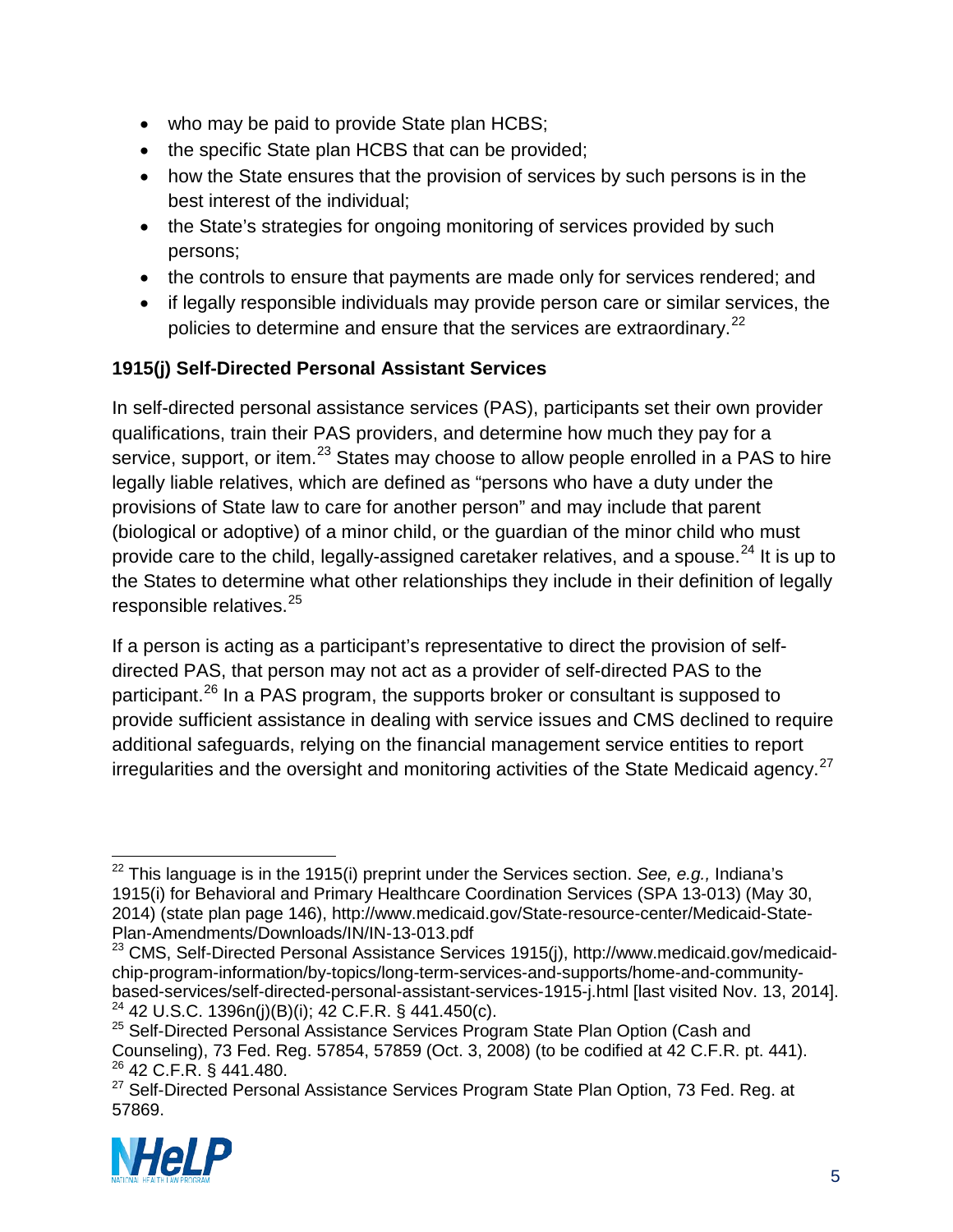- who may be paid to provide State plan HCBS;
- the specific State plan HCBS that can be provided;
- how the State ensures that the provision of services by such persons is in the best interest of the individual;
- the State's strategies for ongoing monitoring of services provided by such persons;
- the controls to ensure that payments are made only for services rendered; and
- if legally responsible individuals may provide person care or similar services, the policies to determine and ensure that the services are extraordinary.<sup>[22](#page-11-0)</sup>

# **1915(j) Self-Directed Personal Assistant Services**

In self-directed personal assistance services (PAS), participants set their own provider qualifications, train their PAS providers, and determine how much they pay for a service, support, or item.<sup>[23](#page-11-1)</sup> States may choose to allow people enrolled in a PAS to hire legally liable relatives, which are defined as "persons who have a duty under the provisions of State law to care for another person" and may include that parent (biological or adoptive) of a minor child, or the guardian of the minor child who must provide care to the child, legally-assigned caretaker relatives, and a spouse.  $24$  It is up to the States to determine what other relationships they include in their definition of legally responsible relatives.<sup>[25](#page-11-3)</sup>

If a person is acting as a participant's representative to direct the provision of selfdirected PAS, that person may not act as a provider of self-directed PAS to the participant.<sup>[26](#page-11-4)</sup> In a PAS program, the supports broker or consultant is supposed to provide sufficient assistance in dealing with service issues and CMS declined to require additional safeguards, relying on the financial management service entities to report irregularities and the oversight and monitoring activities of the State Medicaid agency.<sup>[27](#page-11-5)</sup>

<span id="page-11-5"></span><span id="page-11-4"></span><sup>&</sup>lt;sup>27</sup> Self-Directed Personal Assistance Services Program State Plan Option, 73 Fed. Reg. at 57869.



<span id="page-11-0"></span><sup>22</sup> This language is in the 1915(i) preprint under the Services section. *See, e.g.,* Indiana's 1915(i) for Behavioral and Primary Healthcare Coordination Services (SPA 13-013) (May 30, 2014) (state plan page 146), http://www.medicaid.gov/State-resource-center/Medicaid-State-Plan-Amendments/Downloads/IN/IN-13-013.pdf  $\overline{a}$ 

<span id="page-11-1"></span><sup>&</sup>lt;sup>23</sup> CMS, Self-Directed Personal Assistance Services 1915(j), http://www.medicaid.gov/medicaidchip-program-information/by-topics/long-term-services-and-supports/home-and-communitybased-services/self-directed-personal-assistant-services-1915-j.html [last visited Nov. 13, 2014]. <sup>24</sup> 42 U.S.C. 1396n(j)(B)(i); 42 C.F.R. § 441.450(c).

<span id="page-11-3"></span><span id="page-11-2"></span><sup>&</sup>lt;sup>25</sup> Self-Directed Personal Assistance Services Program State Plan Option (Cash and Counseling), 73 Fed. Reg. 57854, 57859 (Oct. 3, 2008) (to be codified at 42 C.F.R. pt. 441). <sup>26</sup> 42 C.F.R. § 441.480.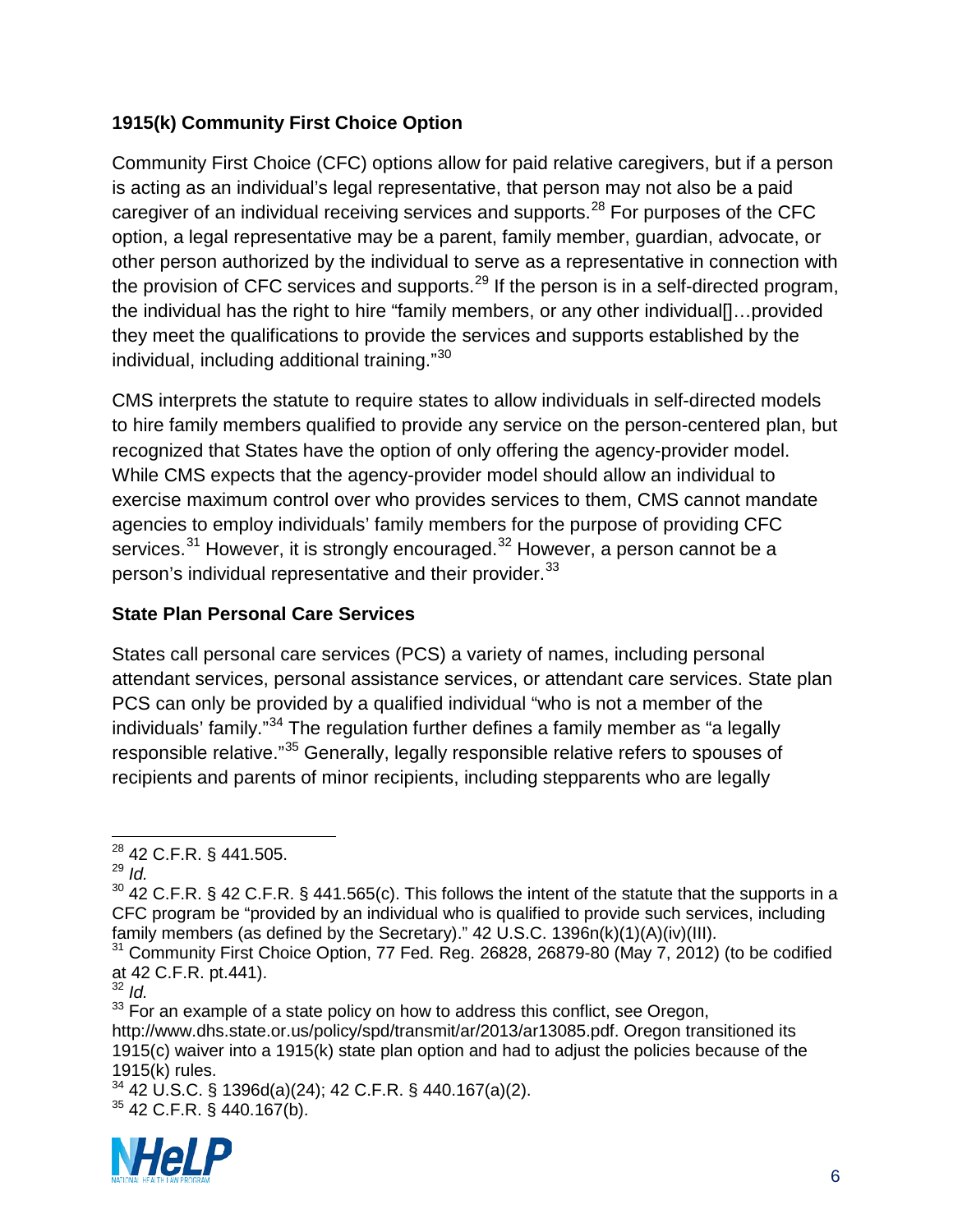# **1915(k) Community First Choice Option**

Community First Choice (CFC) options allow for paid relative caregivers, but if a person is acting as an individual's legal representative, that person may not also be a paid caregiver of an individual receiving services and supports.<sup>[28](#page-12-0)</sup> For purposes of the CFC option, a legal representative may be a parent, family member, guardian, advocate, or other person authorized by the individual to serve as a representative in connection with the provision of CFC services and supports.<sup>[29](#page-12-1)</sup> If the person is in a self-directed program, the individual has the right to hire "family members, or any other individual[]…provided they meet the qualifications to provide the services and supports established by the individual, including additional training."[30](#page-12-2)

CMS interprets the statute to require states to allow individuals in self-directed models to hire family members qualified to provide any service on the person-centered plan, but recognized that States have the option of only offering the agency-provider model. While CMS expects that the agency-provider model should allow an individual to exercise maximum control over who provides services to them, CMS cannot mandate agencies to employ individuals' family members for the purpose of providing CFC services.<sup>[31](#page-12-3)</sup> However, it is strongly encouraged.<sup>[32](#page-12-4)</sup> However, a person cannot be a person's individual representative and their provider.<sup>[33](#page-12-5)</sup>

# **State Plan Personal Care Services**

States call personal care services (PCS) a variety of names, including personal attendant services, personal assistance services, or attendant care services. State plan PCS can only be provided by a qualified individual "who is not a member of the individuals' family."[34](#page-12-6) The regulation further defines a family member as "a legally responsible relative."[35](#page-12-7) Generally, legally responsible relative refers to spouses of recipients and parents of minor recipients, including stepparents who are legally

<span id="page-12-1"></span><span id="page-12-0"></span><sup>29</sup> *Id.* 

<span id="page-12-7"></span><span id="page-12-6"></span> $34$  42 U.S.C. § 1396d(a)(24); 42 C.F.R. § 440.167(a)(2). <sup>35</sup> 42 C.F.R. § 440.167(b).



<sup>&</sup>lt;sup>28</sup> 42 C.F.R. § 441.505.  $\overline{a}$ 

<span id="page-12-2"></span> $30$  42 C.F.R. § 42 C.F.R. § 441.565(c). This follows the intent of the statute that the supports in a CFC program be "provided by an individual who is qualified to provide such services, including family members (as defined by the Secretary)."  $42 \text{ U.S.C. } 1396n(k)(1)(A)(iv)(III)$ .

<span id="page-12-3"></span><sup>&</sup>lt;sup>31</sup> Community First Choice Option, 77 Fed. Reg. 26828, 26879-80 (May 7, 2012) (to be codified at 42 C.F.R. pt.441).

<sup>32</sup> *Id.*

<span id="page-12-5"></span><span id="page-12-4"></span><sup>&</sup>lt;sup>33</sup> For an example of a state policy on how to address this conflict, see Oregon, http://www.dhs.state.or.us/policy/spd/transmit/ar/2013/ar13085.pdf. Oregon transitioned its 1915(c) waiver into a 1915(k) state plan option and had to adjust the policies because of the 1915(k) rules.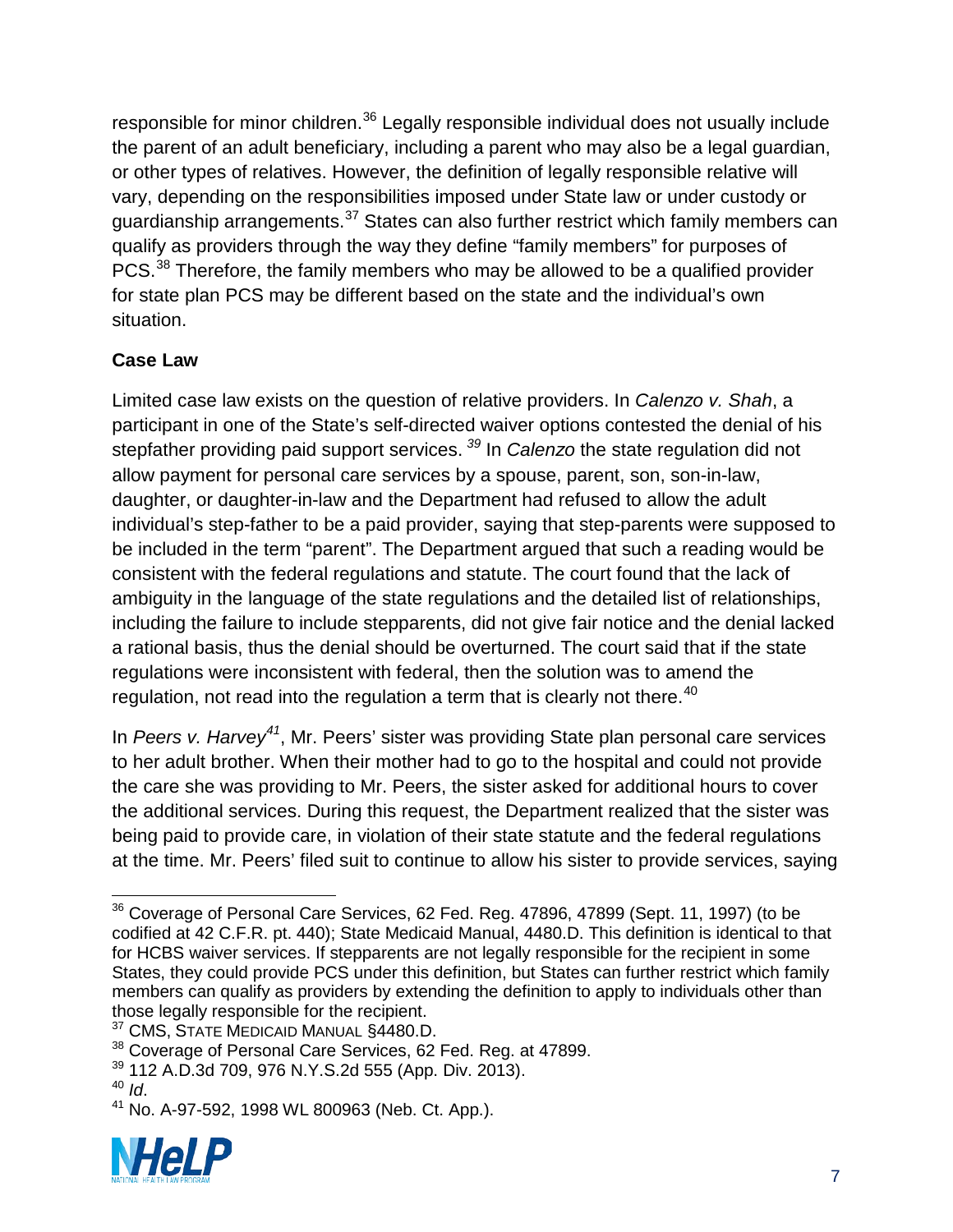responsible for minor children.<sup>[36](#page-13-0)</sup> Legally responsible individual does not usually include the parent of an adult beneficiary, including a parent who may also be a legal guardian, or other types of relatives. However, the definition of legally responsible relative will vary, depending on the responsibilities imposed under State law or under custody or guardianship arrangements.<sup>[37](#page-13-1)</sup> States can also further restrict which family members can qualify as providers through the way they define "family members" for purposes of PCS.<sup>[38](#page-13-2)</sup> Therefore, the family members who may be allowed to be a qualified provider for state plan PCS may be different based on the state and the individual's own situation.

# **Case Law**

Limited case law exists on the question of relative providers. In *Calenzo v. Shah*, a participant in one of the State's self-directed waiver options contested the denial of his stepfather providing paid support services. *[39](#page-13-3)* In *Calenzo* the state regulation did not allow payment for personal care services by a spouse, parent, son, son-in-law, daughter, or daughter-in-law and the Department had refused to allow the adult individual's step-father to be a paid provider, saying that step-parents were supposed to be included in the term "parent". The Department argued that such a reading would be consistent with the federal regulations and statute. The court found that the lack of ambiguity in the language of the state regulations and the detailed list of relationships, including the failure to include stepparents, did not give fair notice and the denial lacked a rational basis, thus the denial should be overturned. The court said that if the state regulations were inconsistent with federal, then the solution was to amend the regulation, not read into the regulation a term that is clearly not there.<sup>[40](#page-13-4)</sup>

In *Peers v. Harvey[41](#page-13-5)*, Mr. Peers' sister was providing State plan personal care services to her adult brother. When their mother had to go to the hospital and could not provide the care she was providing to Mr. Peers, the sister asked for additional hours to cover the additional services. During this request, the Department realized that the sister was being paid to provide care, in violation of their state statute and the federal regulations at the time. Mr. Peers' filed suit to continue to allow his sister to provide services, saying

<span id="page-13-5"></span><span id="page-13-4"></span><span id="page-13-3"></span><sup>&</sup>lt;sup>41</sup> No. A-97-592, 1998 WL 800963 (Neb. Ct. App.).



<span id="page-13-0"></span> $^{36}$  Coverage of Personal Care Services, 62 Fed. Reg. 47896, 47899 (Sept. 11, 1997) (to be codified at 42 C.F.R. pt. 440); State Medicaid Manual, 4480.D. This definition is identical to that for HCBS waiver services. If stepparents are not legally responsible for the recipient in some States, they could provide PCS under this definition, but States can further restrict which family members can qualify as providers by extending the definition to apply to individuals other than those legally responsible for the recipient.  $\overline{a}$ 

<span id="page-13-1"></span><sup>&</sup>lt;sup>37</sup> CMS, STATE MEDICAID MANUAL §4480.D.

<span id="page-13-2"></span><sup>&</sup>lt;sup>38</sup> Coverage of Personal Care Services, 62 Fed. Reg. at 47899.

 $\frac{39}{112}$  A.D.3d 709, 976 N.Y.S.2d 555 (App. Div. 2013).<br> $\frac{40}{11}$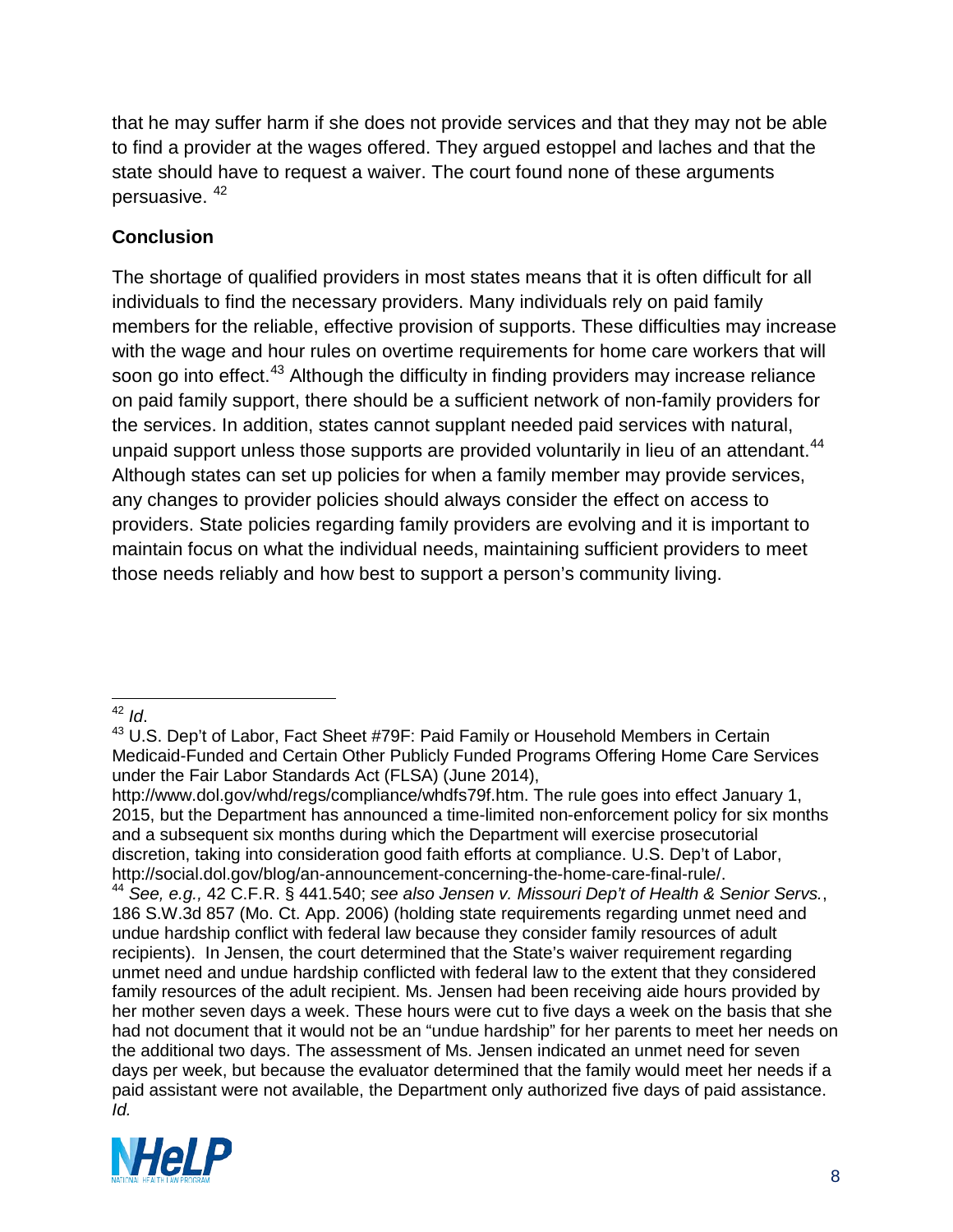that he may suffer harm if she does not provide services and that they may not be able to find a provider at the wages offered. They argued estoppel and laches and that the state should have to request a waiver. The court found none of these arguments persuasive. [42](#page-14-0)

# **Conclusion**

The shortage of qualified providers in most states means that it is often difficult for all individuals to find the necessary providers. Many individuals rely on paid family members for the reliable, effective provision of supports. These difficulties may increase with the wage and hour rules on overtime requirements for home care workers that will soon go into effect.<sup>[43](#page-14-1)</sup> Although the difficulty in finding providers may increase reliance on paid family support, there should be a sufficient network of non-family providers for the services. In addition, states cannot supplant needed paid services with natural, unpaid support unless those supports are provided voluntarily in lieu of an attendant.<sup>[44](#page-14-2)</sup> Although states can set up policies for when a family member may provide services, any changes to provider policies should always consider the effect on access to providers. State policies regarding family providers are evolving and it is important to maintain focus on what the individual needs, maintaining sufficient providers to meet those needs reliably and how best to support a person's community living.

<span id="page-14-0"></span><sup>42</sup>  $\overline{d}$ .

http://www.dol.gov/whd/regs/compliance/whdfs79f.htm. The rule goes into effect January 1, 2015, but the Department has announced a time-limited non-enforcement policy for six months and a subsequent six months during which the Department will exercise prosecutorial discretion, taking into consideration good faith efforts at compliance. U.S. Dep't of Labor, http://social.dol.gov/blog/an-announcement-concerning-the-home-care-final-rule/.

<span id="page-14-2"></span><sup>44</sup> See, e.g., 42 C.F.R. § 441.540; see also Jensen v. Missouri Dep't of Health & Senior Servs., 186 S.W.3d 857 (Mo. Ct. App. 2006) (holding state requirements regarding unmet need and undue hardship conflict with federal law because they consider family resources of adult recipients). In Jensen, the court determined that the State's waiver requirement regarding unmet need and undue hardship conflicted with federal law to the extent that they considered family resources of the adult recipient. Ms. Jensen had been receiving aide hours provided by her mother seven days a week. These hours were cut to five days a week on the basis that she had not document that it would not be an "undue hardship" for her parents to meet her needs on the additional two days. The assessment of Ms. Jensen indicated an unmet need for seven days per week, but because the evaluator determined that the family would meet her needs if a paid assistant were not available, the Department only authorized five days of paid assistance. *Id.*



<span id="page-14-1"></span><sup>&</sup>lt;sup>43</sup> U.S. Dep't of Labor, Fact Sheet #79F: Paid Family or Household Members in Certain Medicaid-Funded and Certain Other Publicly Funded Programs Offering Home Care Services under the Fair Labor Standards Act (FLSA) (June 2014),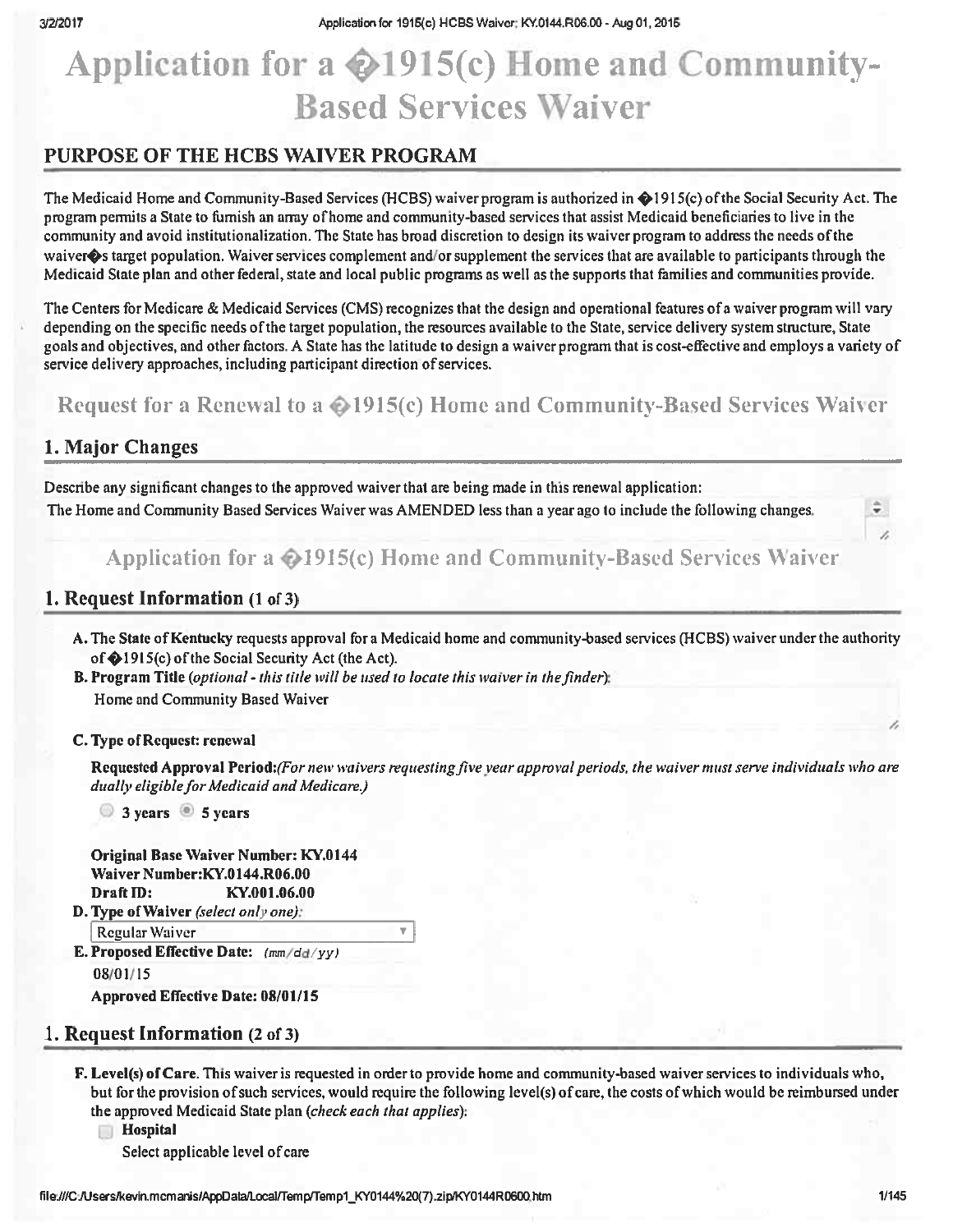# Application for a  $\bigotimes$ 1915(c) Home and Community-**Based Services Waiver**

# PURPOSE OF THE HCBS WAIVER PROGRAM

The Medicaid Home and Community-Based Services (HCBS) waiver program is authorized in @1915(c) of the Social Security Act. The program permits a State to furnish an array of home and community-based services that assist Medicaid beneficiaries to live in the community and avoid institutionalization. The State has broad discretion to design its waiver program to address the needs of the waiver $\bullet$ s target population. Waiver services complement and/or supplement the services that are available to participants through the Medicaid State plan and other federal, state and local public programs as well as the supports that families and communities provide.

The Centers for Medicare & Medicaid Services (CMS) recognizes that the design and operational features of a waiver program will vary depending on the specific needs of the target population, the resources available to the State, service delivery system structure, State goals and objectives, and other factors. A State has the latitude to design a waiver program that is cost-effective and employs a variety of service delivery approaches, including participant direction of services.

Request for a Renewal to a @1915(c) Home and Community-Based Services Waiver

# 1. Major Changes

Describe any significant changes to the approved waiver that are being made in this renewal application: The Home and Community Based Services Waiver was AMENDED less than a year ago to include the following changes.

Application for a ©1915(c) Home and Community-Based Services Waiver

# 1. Request Information (1 of 3)

A. The State of Kentucky requests approval for a Medicaid home and community-based services (HCBS) waiver under the authority of @1915(c) of the Social Security Act (the Act).

**B. Program Title** (optional - this title will be used to locate this waiver in the finder): Home and Community Based Waiver

#### C. Type of Request: renewal

Requested Approval Period: (For new waivers requesting five year approval periods, the waiver must serve individuals who are dually eligible for Medicaid and Medicare.)

3 years 5 years

Original Base Waiver Number: KY.0144 Waiver Number:KY.0144.R06.00 Draft ID: KY.001.06.00 D. Type of Waiver (select only one):

**Regular Waiver** 

E. Proposed Effective Date:  $(mm/dd/yy)$ 08/01/15

Approved Effective Date: 08/01/15

# 1. Request Information (2 of 3)

F. Level(s) of Care. This waiver is requested in order to provide home and community-based waiver services to individuals who, but for the provision of such services, would require the following level(s) of care, the costs of which would be reimbursed under the approved Medicaid State plan (check each that applies):

**Hospital** 

Select applicable level of care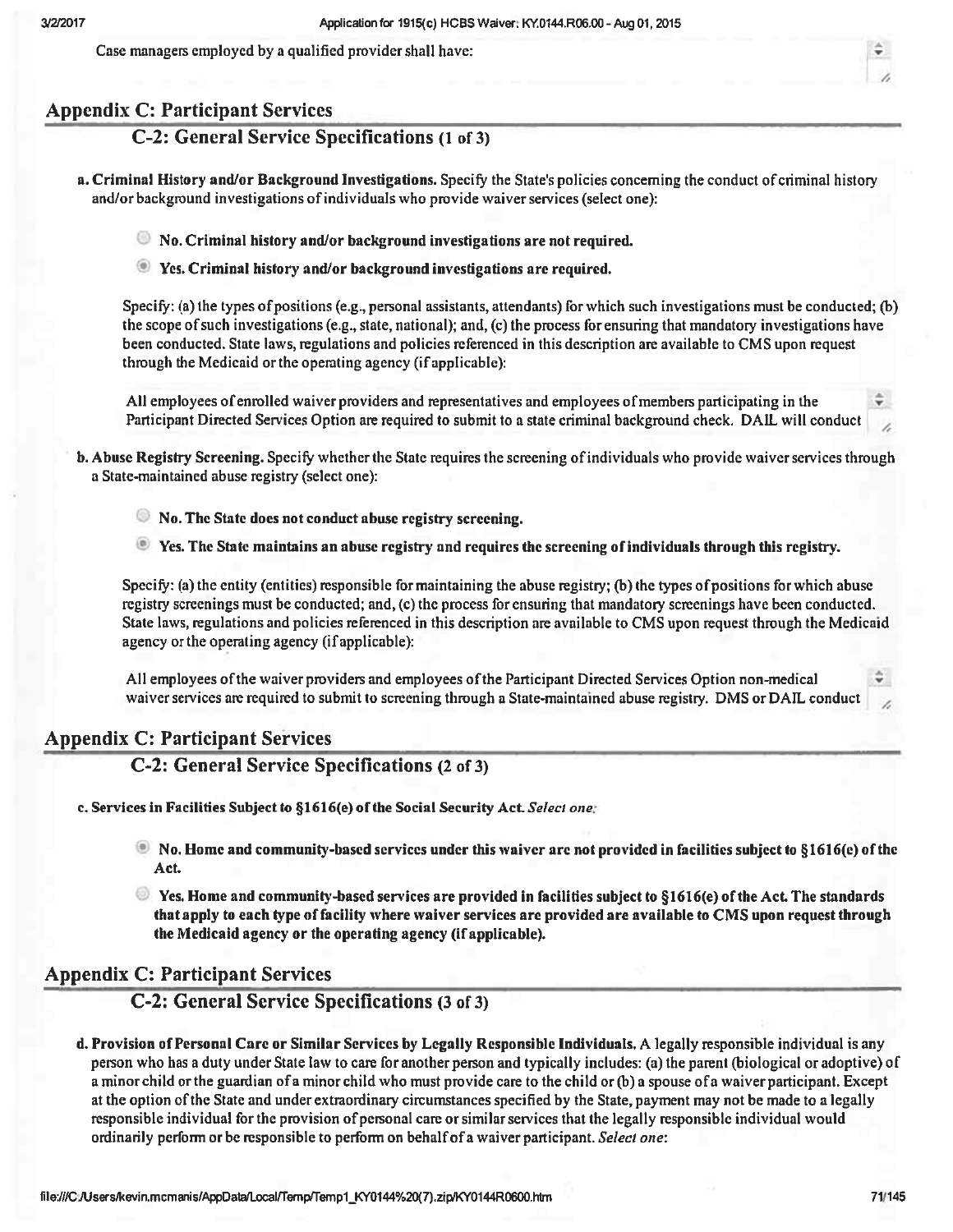Case managers employed by a qualified provider shall have:

# **Appendix C: Participant Services**

# C-2: General Service Specifications (1 of 3)

- a. Criminal History and/or Background Investigations. Specify the State's policies concerning the conduct of criminal history and/or background investigations of individuals who provide waiver services (select one):
	- lacktriangleright No. Criminal history and/or background investigations are not required.
	- Yes. Criminal history and/or background investigations are required.

Specify: (a) the types of positions (e.g., personal assistants, attendants) for which such investigations must be conducted; (b) the scope of such investigations (e.g., state, national); and, (c) the process for ensuring that mandatory investigations have been conducted. State laws, regulations and policies referenced in this description are available to CMS upon request through the Medicaid or the operating agency (if applicable):

All employees of enrolled waiver providers and representatives and employees of members participating in the Participant Directed Services Option are required to submit to a state criminal background check. DAIL will conduct

- b. Abuse Registry Screening. Specify whether the State requires the screening of individuals who provide waiver services through a State-maintained abuse registry (select one):
	- No. The State does not conduct abuse registry screening.
	- **E** Yes. The State maintains an abuse registry and requires the screening of individuals through this registry.

Specify: (a) the entity (entities) responsible for maintaining the abuse registry; (b) the types of positions for which abuse registry screenings must be conducted; and, (c) the process for ensuring that mandatory screenings have been conducted. State laws, regulations and policies referenced in this description are available to CMS upon request through the Medicaid agency or the operating agency (if applicable):

All employees of the waiver providers and employees of the Participant Directed Services Option non-medical waiver services are required to submit to screening through a State-maintained abuse registry. DMS or DAIL conduct

# **Appendix C: Participant Services**

# C-2: General Service Specifications (2 of 3)

c. Services in Facilities Subject to §1616(e) of the Social Security Act. Select one:

- No. Home and community-based services under this waiver are not provided in facilities subject to §1616(e) of the Act.
- $\bullet$  Yes. Home and community-based services are provided in facilities subject to §1616(e) of the Act. The standards that apply to each type of facility where waiver services are provided are available to CMS upon request through the Medicaid agency or the operating agency (if applicable).

# **Appendix C: Participant Services**

C-2: General Service Specifications (3 of 3)

d. Provision of Personal Care or Similar Services by Legally Responsible Individuals. A legally responsible individual is any person who has a duty under State law to care for another person and typically includes: (a) the parent (biological or adoptive) of a minor child or the guardian of a minor child who must provide care to the child or (b) a spouse of a waiver participant. Except at the option of the State and under extraordinary circumstances specified by the State, payment may not be made to a legally responsible individual for the provision of personal care or similar services that the legally responsible individual would ordinarily perform or be responsible to perform on behalf of a waiver participant. Select one: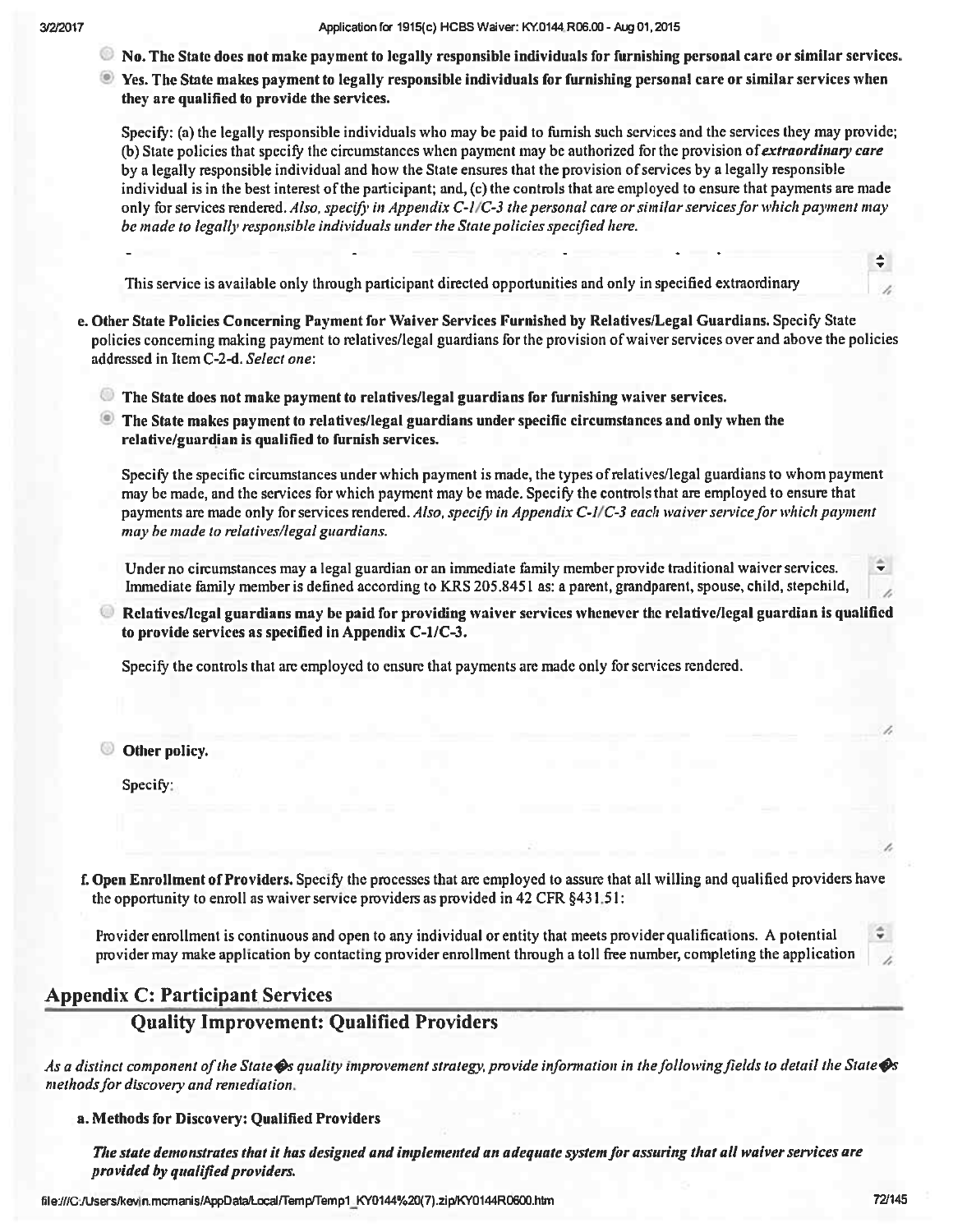- to No. The State does not make payment to legally responsible individuals for furnishing personal care or similar services.
- See. The State makes payment to legally responsible individuals for furnishing personal care or similar services when they are qualified to provide the services.

Specify: (a) the legally responsible individuals who may be paid to furnish such services and the services they may provide; (b) State policies that specify the circumstances when payment may be authorized for the provision of *extraordinary care* by a legally responsible individual and how the State ensures that the provision of services by a legally responsible individual is in the best interest of the participant; and, (c) the controls that are employed to ensure that payments are made only for services rendered. Also, specify in Appendix  $C-1/C-3$  the personal care or similar services for which payment may be made to legally responsible individuals under the State policies specified here.

This service is available only through participant directed opportunities and only in specified extraordinary

- e. Other State Policies Concerning Payment for Waiver Services Furnished by Relatives/Legal Guardians. Specify State policies concerning making payment to relatives/legal guardians for the provision of waiver services over and above the policies addressed in Item C-2-d. Select one:
	- $\bullet$  The State does not make payment to relatives/legal guardians for furnishing waiver services.
	- The State makes payment to relatives/legal guardians under specific circumstances and only when the relative/guardian is qualified to furnish services.

Specify the specific circumstances under which payment is made, the types of relatives/legal guardians to whom payment may be made, and the services for which payment may be made. Specify the controls that are employed to ensure that payments are made only for services rendered. Also, specify in Appendix C-1/C-3 each waiver service for which payment may be made to relatives/legal guardians.

Under no circumstances may a legal guardian or an immediate family member provide traditional waiver services. Immediate family member is defined according to KRS 205.8451 as: a parent, grandparent, spouse, child, stepchild,

Relatives/legal guardians may be paid for providing waiver services whenever the relative/legal guardian is qualified to provide services as specified in Appendix C-1/C-3.

Specify the controls that are employed to ensure that payments are made only for services rendered.

© Other policy.

Specify:

f. Open Enrollment of Providers, Specify the processes that are employed to assure that all willing and qualified providers have the opportunity to enroll as waiver service providers as provided in 42 CFR §431.51:

Provider enrollment is continuous and open to any individual or entity that meets provider qualifications. A potential provider may make application by contacting provider enrollment through a toll free number, completing the application

# **Appendix C: Participant Services**

# **Ouality Improvement: Oualified Providers**

As a distinct component of the State  $\otimes$ s quality improvement strategy, provide information in the following fields to detail the State  $\otimes$ s methods for discovery and remediation.

#### a. Methods for Discovery: Qualified Providers

The state demonstrates that it has designed and implemented an adequate system for assuring that all waiver services are provided by qualified providers.

file:///C:/Users/kevin.mcmanis/AppData/Local/Temp/Temp1\_KY0144%20(7).zip/KY0144R0600.htm

÷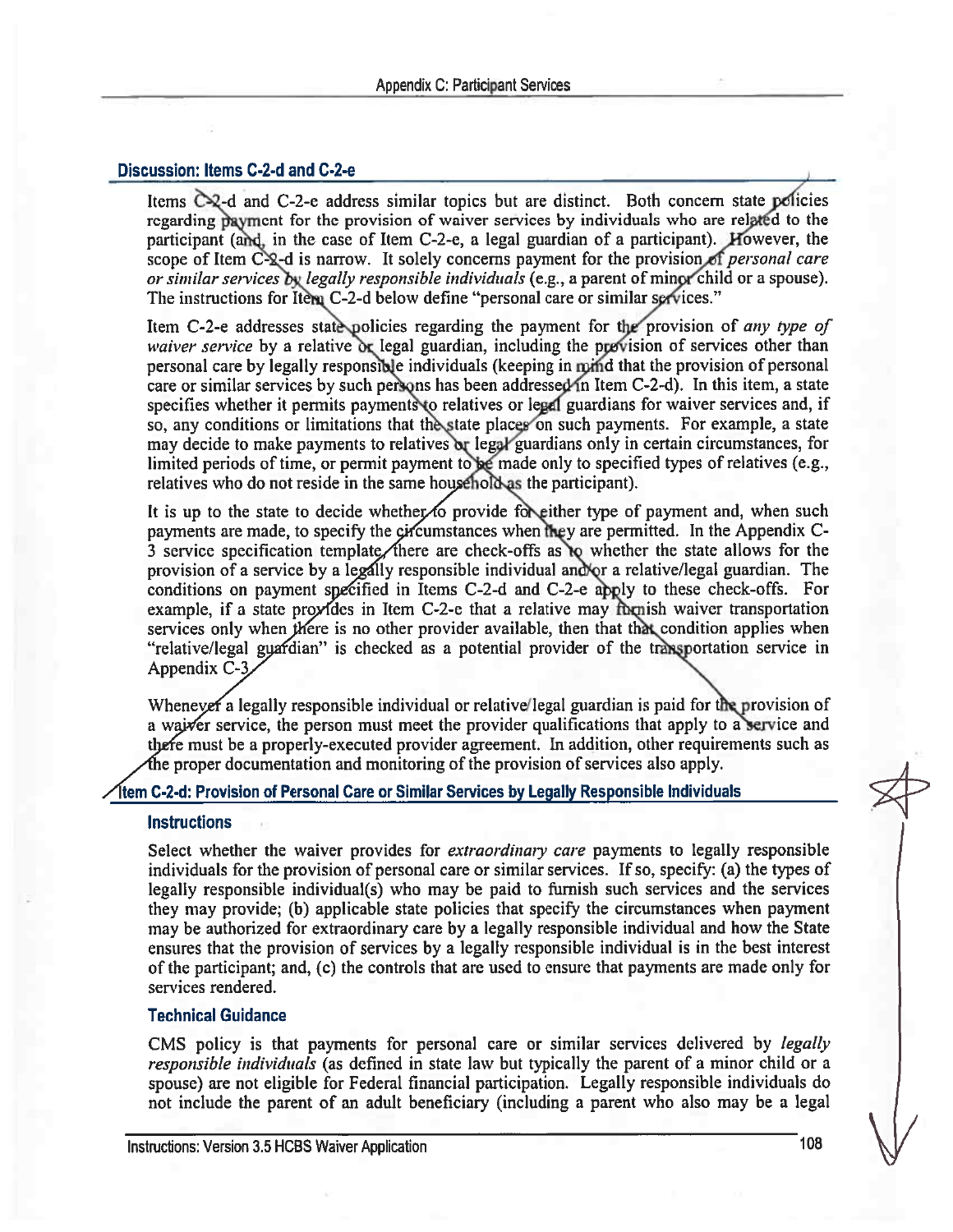# Discussion: Items C-2-d and C-2-e

Items  $C_2$ -d and C-2-e address similar topics but are distinct. Both concern state policies regarding payment for the provision of waiver services by individuals who are related to the participant (and, in the case of Item C-2-e, a legal guardian of a participant). However, the scope of Item C-2-d is narrow. It solely concerns payment for the provision of *personal care* or similar services by legally responsible individuals (e.g., a parent of minor child or a spouse). The instructions for Item C-2-d below define "personal care or similar services."

Item C-2-e addresses state policies regarding the payment for the provision of any type of waiver service by a relative or legal guardian, including the provision of services other than personal care by legally responsible individuals (keeping in mind that the provision of personal care or similar services by such persons has been addressed in Item C-2-d). In this item, a state specifies whether it permits payments to relatives or legal guardians for waiver services and, if so, any conditions or limitations that the state places on such payments. For example, a state may decide to make payments to relatives or legal guardians only in certain circumstances, for limited periods of time, or permit payment to be made only to specified types of relatives (e.g., relatives who do not reside in the same household as the participant).

It is up to the state to decide whether to provide for either type of payment and, when such payments are made, to specify the circumstances when they are permitted. In the Appendix C-3 service specification template there are check-offs as to whether the state allows for the provision of a service by a legally responsible individual and/or a relative/legal guardian. The conditions on payment specified in Items C-2-d and C-2-e apply to these check-offs. For example, if a state provides in Item C-2-e that a relative may fornish waiver transportation services only when there is no other provider available, then that that condition applies when "relative/legal gyardian" is checked as a potential provider of the transportation service in Appendix C-3

Whenever a legally responsible individual or relative/legal guardian is paid for the provision of a wajver service, the person must meet the provider qualifications that apply to a service and there must be a properly-executed provider agreement. In addition, other requirements such as the proper documentation and monitoring of the provision of services also apply.

#### Ítem C-2-d: Provision of Personal Care or Similar Services by Legally Responsible Individuals

#### **Instructions**

Select whether the waiver provides for *extraordinary care* payments to legally responsible individuals for the provision of personal care or similar services. If so, specify: (a) the types of legally responsible individual(s) who may be paid to furnish such services and the services they may provide; (b) applicable state policies that specify the circumstances when payment may be authorized for extraordinary care by a legally responsible individual and how the State ensures that the provision of services by a legally responsible individual is in the best interest of the participant; and, (c) the controls that are used to ensure that payments are made only for services rendered.

#### **Technical Guidance**

CMS policy is that payments for personal care or similar services delivered by *legally responsible individuals* (as defined in state law but typically the parent of a minor child or a spouse) are not eligible for Federal financial participation. Legally responsible individuals do not include the parent of an adult beneficiary (including a parent who also may be a legal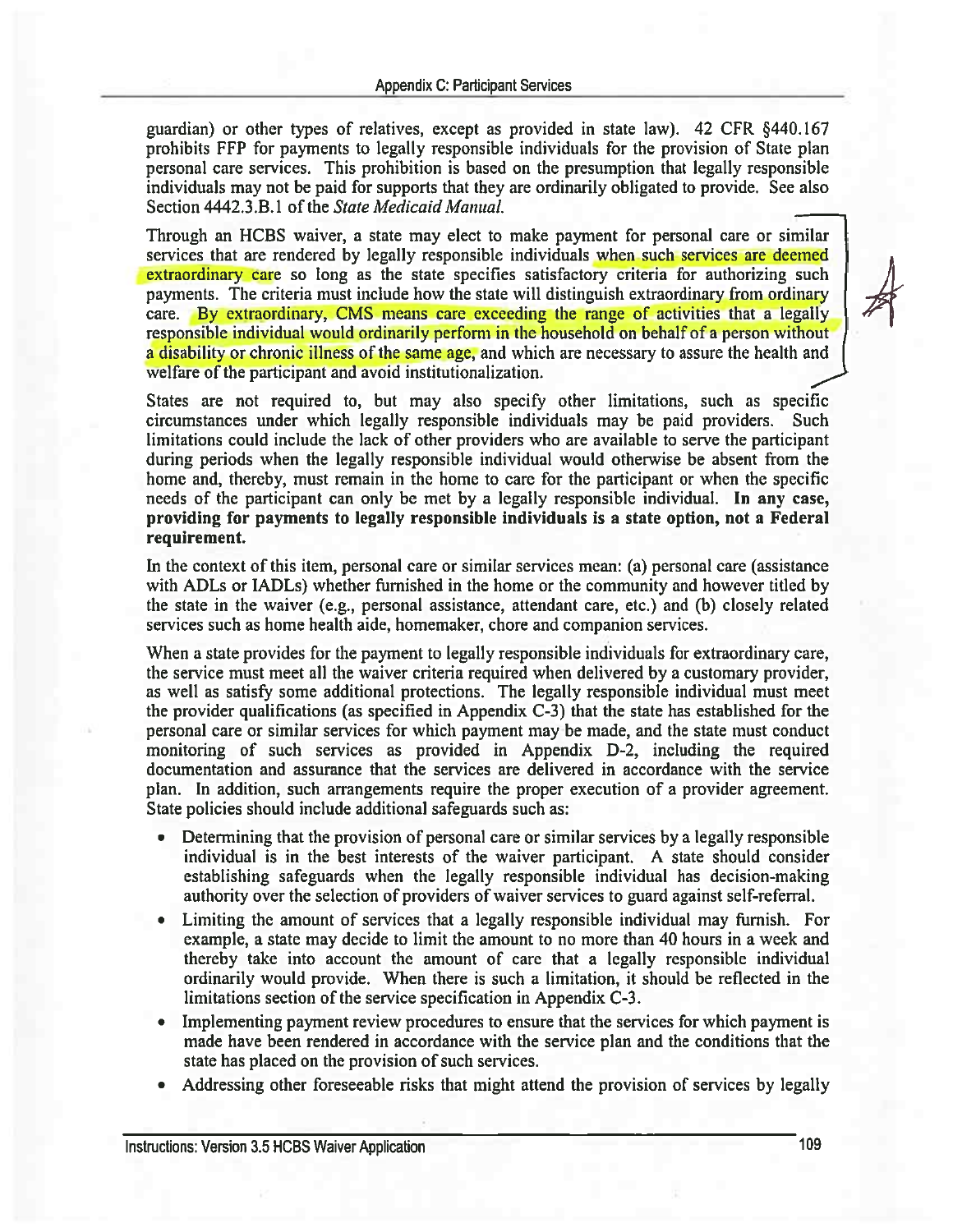guardian) or other types of relatives, except as provided in state law). 42 CFR §440.167 prohibits FFP for payments to legally responsible individuals for the provision of State plan personal care services. This prohibition is based on the presumption that legally responsible individuals may not be paid for supports that they are ordinarily obligated to provide. See also Section 4442.3.B.1 of the State Medicaid Manual.

Through an HCBS waiver, a state may elect to make payment for personal care or similar services that are rendered by legally responsible individuals when such services are deemed extraordinary care so long as the state specifies satisfactory criteria for authorizing such payments. The criteria must include how the state will distinguish extraordinary from ordinary care. By extraordinary, CMS means care exceeding the range of activities that a legally responsible individual would ordinarily perform in the household on behalf of a person without a disability or chronic illness of the same age, and which are necessary to assure the health and welfare of the participant and avoid institutionalization.

States are not required to, but may also specify other limitations, such as specific circumstances under which legally responsible individuals may be paid providers. Such limitations could include the lack of other providers who are available to serve the participant during periods when the legally responsible individual would otherwise be absent from the home and, thereby, must remain in the home to care for the participant or when the specific needs of the participant can only be met by a legally responsible individual. In any case, providing for payments to legally responsible individuals is a state option, not a Federal requirement.

In the context of this item, personal care or similar services mean: (a) personal care (assistance with ADLs or IADLs) whether furnished in the home or the community and however titled by the state in the waiver (e.g., personal assistance, attendant care, etc.) and (b) closely related services such as home health aide, homemaker, chore and companion services.

When a state provides for the payment to legally responsible individuals for extraordinary care. the service must meet all the waiver criteria required when delivered by a customary provider, as well as satisfy some additional protections. The legally responsible individual must meet the provider qualifications (as specified in Appendix C-3) that the state has established for the personal care or similar services for which payment may be made, and the state must conduct monitoring of such services as provided in Appendix D-2, including the required documentation and assurance that the services are delivered in accordance with the service plan. In addition, such arrangements require the proper execution of a provider agreement. State policies should include additional safeguards such as:

- Determining that the provision of personal care or similar services by a legally responsible individual is in the best interests of the waiver participant. A state should consider establishing safeguards when the legally responsible individual has decision-making authority over the selection of providers of waiver services to guard against self-referral.
- Limiting the amount of services that a legally responsible individual may furnish. For example, a state may decide to limit the amount to no more than 40 hours in a week and thereby take into account the amount of care that a legally responsible individual ordinarily would provide. When there is such a limitation, it should be reflected in the limitations section of the service specification in Appendix C-3.
- Implementing payment review procedures to ensure that the services for which payment is made have been rendered in accordance with the service plan and the conditions that the state has placed on the provision of such services.
- Addressing other foreseeable risks that might attend the provision of services by legally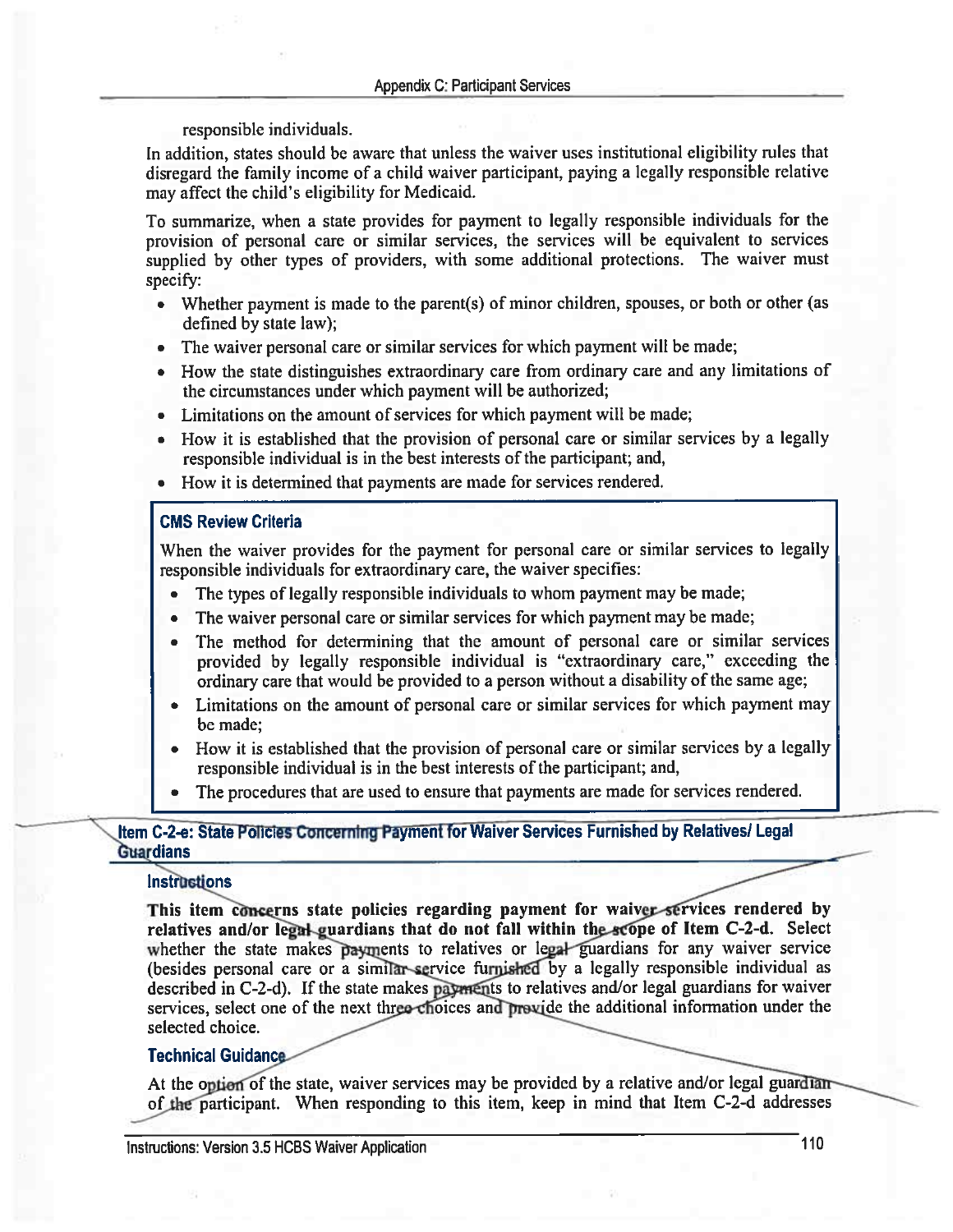responsible individuals.

In addition, states should be aware that unless the waiver uses institutional eligibility rules that disregard the family income of a child waiver participant, paying a legally responsible relative may affect the child's eligibility for Medicaid.

To summarize, when a state provides for payment to legally responsible individuals for the provision of personal care or similar services, the services will be equivalent to services supplied by other types of providers, with some additional protections. The waiver must specify:

- Whether payment is made to the parent(s) of minor children, spouses, or both or other (as defined by state law);
- The waiver personal care or similar services for which payment will be made;
- How the state distinguishes extraordinary care from ordinary care and any limitations of the circumstances under which payment will be authorized;
- Limitations on the amount of services for which payment will be made;
- How it is established that the provision of personal care or similar services by a legally responsible individual is in the best interests of the participant; and,
- How it is determined that payments are made for services rendered.

#### **CMS Review Criteria**

When the waiver provides for the payment for personal care or similar services to legally responsible individuals for extraordinary care, the waiver specifies:

- The types of legally responsible individuals to whom payment may be made;  $\bullet$
- The waiver personal care or similar services for which payment may be made;  $\bullet$
- The method for determining that the amount of personal care or similar services  $\bullet$ provided by legally responsible individual is "extraordinary care," exceeding the ordinary care that would be provided to a person without a disability of the same age;
- Limitations on the amount of personal care or similar services for which payment may be made;
- How it is established that the provision of personal care or similar services by a legally  $\bullet$ responsible individual is in the best interests of the participant; and,
- The procedures that are used to ensure that payments are made for services rendered.

# Item C-2-e: State Policies Concerning Payment for Waiver Services Furnished by Relatives/ Legal **Guardians**

#### **Instructions**

This item concerns state policies regarding payment for waiver services rendered by relatives and/or legal-guardians that do not fall within the scope of Item C-2-d. Select whether the state makes payments to relatives or legal guardians for any waiver service (besides personal care or a similar-service furnished by a legally responsible individual as described in C-2-d). If the state makes payments to relatives and/or legal guardians for waiver services, select one of the next three choices and previde the additional information under the selected choice.

# **Technical Guidance**

At the option of the state, waiver services may be provided by a relative and/or legal guardianof the participant. When responding to this item, keep in mind that Item C-2-d addresses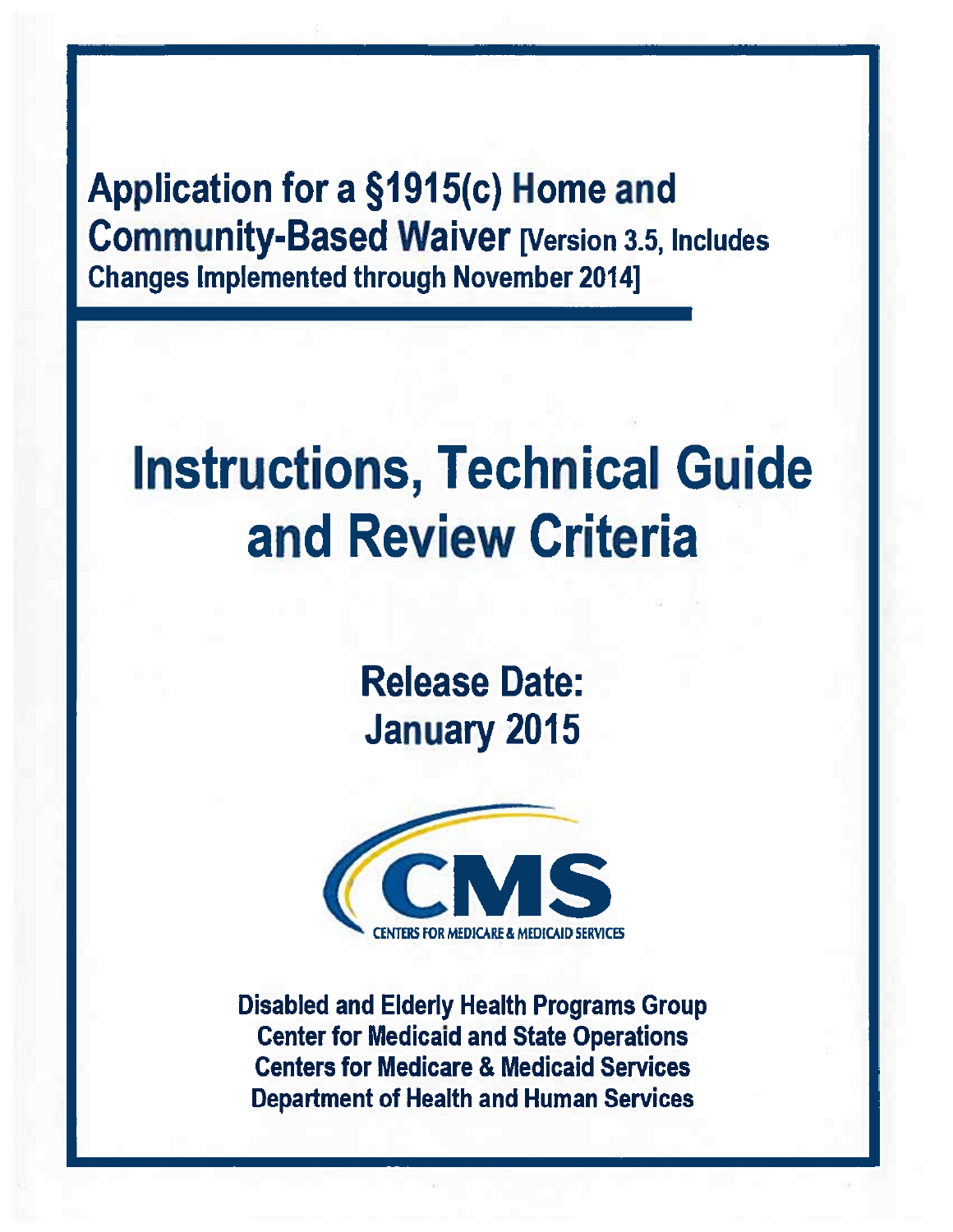Application for a §1915(c) Home and **Community-Based Waiver [Version 3.5, Includes Changes Implemented through November 2014]** 

# **Instructions, Technical Guide** and Review Criteria

**Release Date: January 2015** 



**Disabled and Elderly Health Programs Group Center for Medicaid and State Operations Centers for Medicare & Medicaid Services Department of Health and Human Services**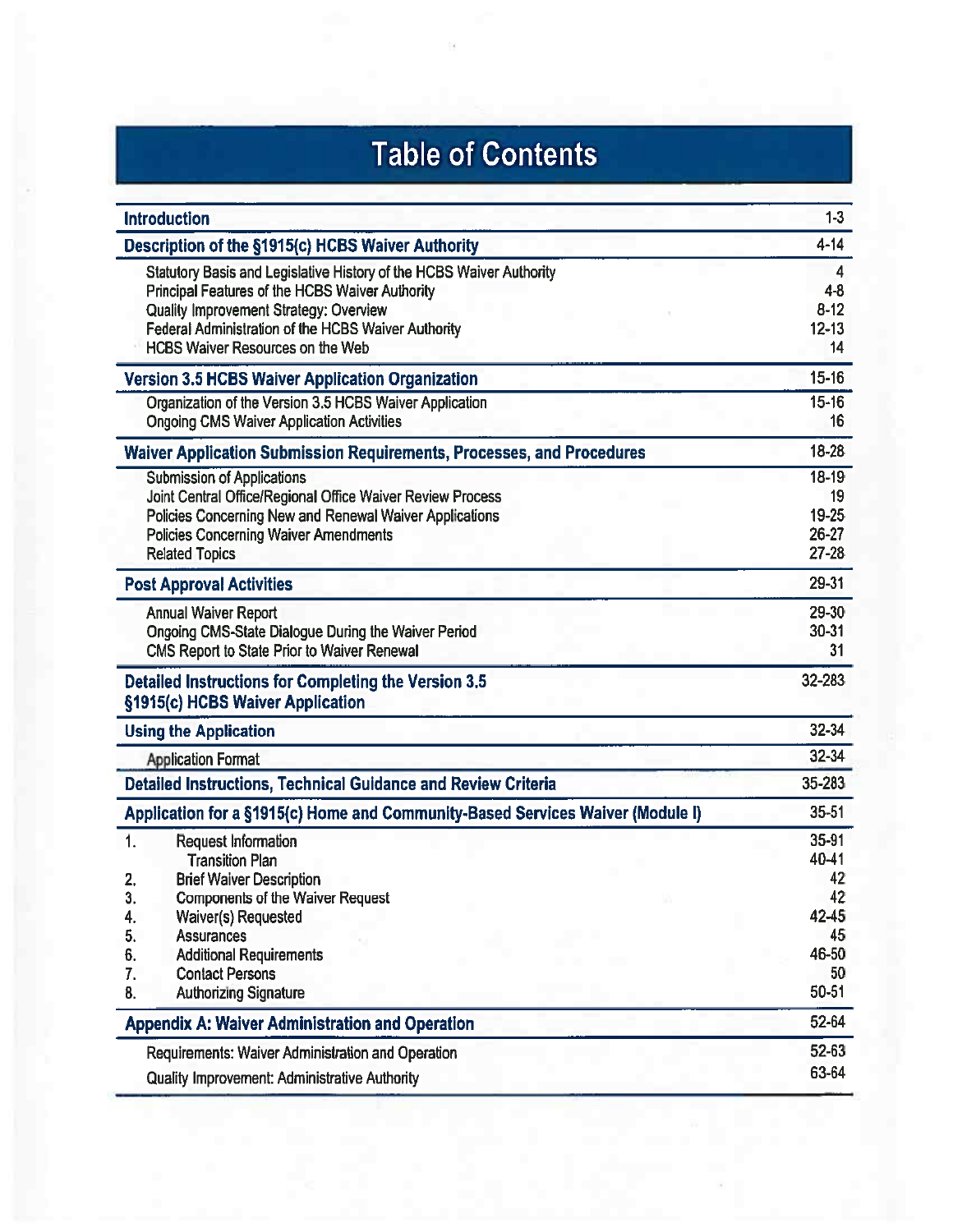# **Table of Contents**

| <b>Introduction</b>                                                                                                                                                                                                                                                 | $1-3$                                          |
|---------------------------------------------------------------------------------------------------------------------------------------------------------------------------------------------------------------------------------------------------------------------|------------------------------------------------|
| Description of the §1915(c) HCBS Waiver Authority                                                                                                                                                                                                                   | $4 - 14$                                       |
| Statutory Basis and Legislative History of the HCBS Waiver Authority<br>Principal Features of the HCBS Waiver Authority<br>Quality Improvement Strategy: Overview<br>Federal Administration of the HCBS Waiver Authority<br><b>HCBS Waiver Resources on the Web</b> | 4<br>$4 - 8$<br>$8 - 12$<br>$12 - 13$<br>14    |
| <b>Version 3.5 HCBS Waiver Application Organization</b>                                                                                                                                                                                                             | $15 - 16$                                      |
| Organization of the Version 3.5 HCBS Waiver Application<br><b>Ongoing CMS Waiver Application Activities</b>                                                                                                                                                         | $15 - 16$<br>16                                |
| <b>Waiver Application Submission Requirements, Processes, and Procedures</b>                                                                                                                                                                                        | 18-28                                          |
| <b>Submission of Applications</b><br>Joint Central Office/Regional Office Waiver Review Process<br>Policies Concerning New and Renewal Waiver Applications<br><b>Policies Concerning Waiver Amendments</b><br><b>Related Topics</b>                                 | $18 - 19$<br>19<br>19-25<br>26-27<br>$27 - 28$ |
| <b>Post Approval Activities</b>                                                                                                                                                                                                                                     | 29-31                                          |
| <b>Annual Waiver Report</b><br>Ongoing CMS-State Dialogue During the Waiver Period<br><b>CMS Report to State Prior to Waiver Renewal</b>                                                                                                                            | 29-30<br>$30 - 31$<br>31                       |
| <b>Detailed Instructions for Completing the Version 3.5</b><br>§1915(c) HCBS Waiver Application                                                                                                                                                                     | 32-283                                         |
| <b>Using the Application</b>                                                                                                                                                                                                                                        | 32-34                                          |
| <b>Application Format</b>                                                                                                                                                                                                                                           | $32 - 34$                                      |
| Detailed Instructions, Technical Guidance and Review Criteria                                                                                                                                                                                                       | 35-283                                         |
| Application for a §1915(c) Home and Community-Based Services Waiver (Module I)                                                                                                                                                                                      | $35 - 51$                                      |
| 1.<br><b>Request Information</b><br><b>Transition Plan</b><br>2.<br><b>Brief Waiver Description</b>                                                                                                                                                                 | 35-91<br>40-41<br>42                           |
| <b>Components of the Waiver Request</b><br>J.<br>Waiver(s) Requested<br>4.                                                                                                                                                                                          | 42<br>42-45                                    |
| 5.<br><b>Assurances</b>                                                                                                                                                                                                                                             | 45                                             |
| <b>Additional Requirements</b><br>6.                                                                                                                                                                                                                                | 46-50                                          |
| 7.<br><b>Contact Persons</b><br><b>Authorizing Signature</b><br>8.                                                                                                                                                                                                  | 50<br>50-51                                    |
| <b>Appendix A: Waiver Administration and Operation</b>                                                                                                                                                                                                              | 52-64                                          |
| Requirements: Waiver Administration and Operation                                                                                                                                                                                                                   | 52-63                                          |
| <b>Quality Improvement: Administrative Authority</b>                                                                                                                                                                                                                | 63-64                                          |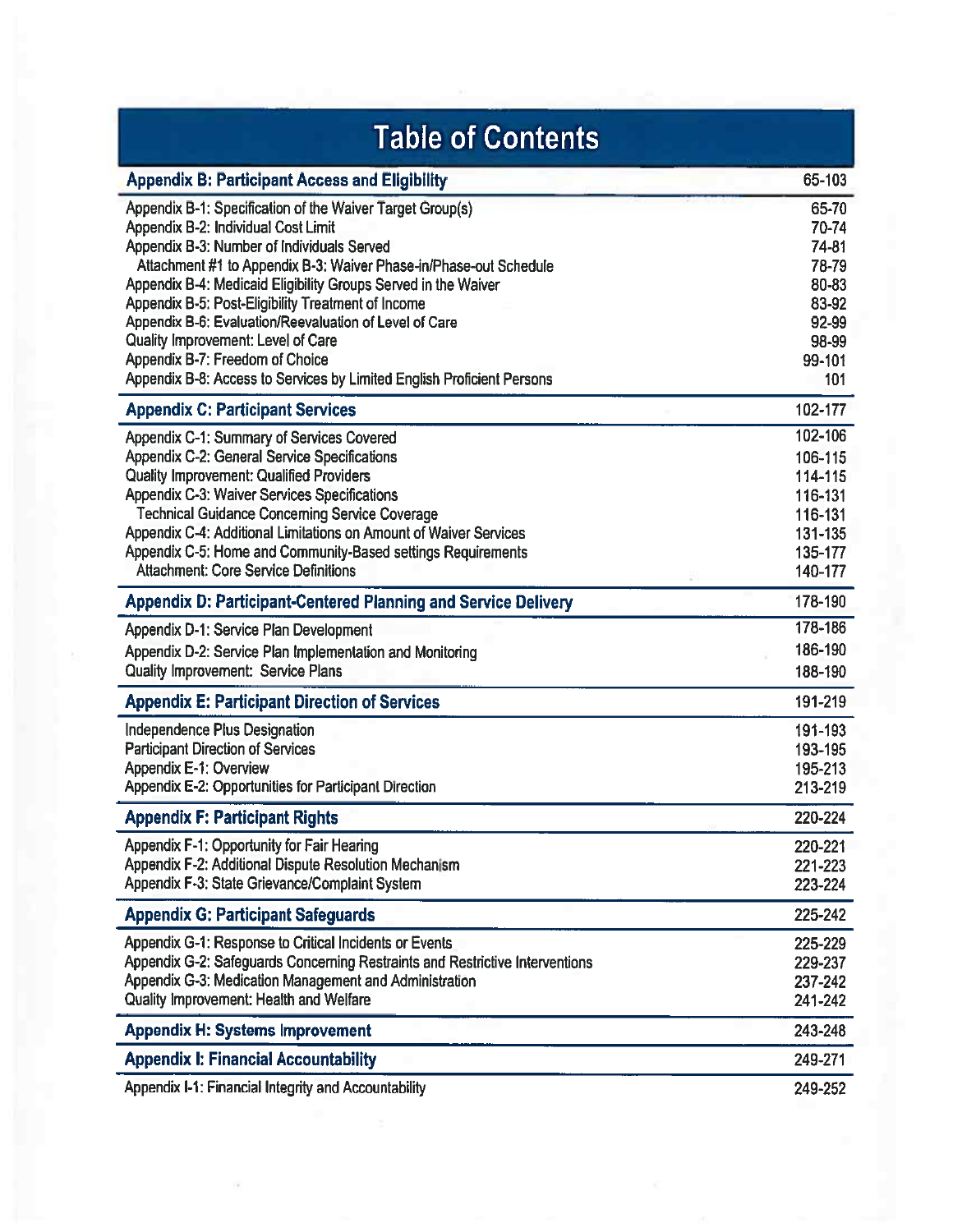| <b>Table of Contents</b>                                                     |         |
|------------------------------------------------------------------------------|---------|
| <b>Appendix B: Participant Access and Eligibility</b>                        | 65-103  |
| Appendix B-1: Specification of the Waiver Target Group(s)                    | 65-70   |
| Appendix B-2: Individual Cost Limit                                          | 70-74   |
| Appendix B-3: Number of Individuals Served                                   | 74-81   |
| Attachment #1 to Appendix B-3: Waiver Phase-in/Phase-out Schedule            | 78-79   |
| Appendix B-4: Medicaid Eligibility Groups Served in the Waiver               | 80-83   |
| Appendix B-5: Post-Eligibility Treatment of Income                           | 83-92   |
| Appendix B-6: Evaluation/Reevaluation of Level of Care                       | 92-99   |
| Quality Improvement: Level of Care                                           | 98-99   |
| Appendix B-7: Freedom of Choice                                              | 99-101  |
| Appendix B-8: Access to Services by Limited English Proficient Persons       | 101     |
| <b>Appendix C: Participant Services</b>                                      | 102-177 |
| Appendix C-1: Summary of Services Covered                                    | 102-106 |
| Appendix C-2: General Service Specifications                                 | 106-115 |
| <b>Quality Improvement: Qualified Providers</b>                              | 114-115 |
| Appendix C-3: Waiver Services Specifications                                 | 116-131 |
| <b>Technical Guidance Concerning Service Coverage</b>                        | 116-131 |
| Appendix C-4: Additional Limitations on Amount of Waiver Services            | 131-135 |
| Appendix C-5: Home and Community-Based settings Requirements                 | 135-177 |
| <b>Attachment: Core Service Definitions</b>                                  | 140-177 |
| <b>Appendix D: Participant-Centered Planning and Service Delivery</b>        | 178-190 |
| Appendix D-1: Service Plan Development                                       | 178-186 |
| Appendix D-2: Service Plan Implementation and Monitoring                     | 186-190 |
| Quality Improvement: Service Plans                                           | 188-190 |
| <b>Appendix E: Participant Direction of Services</b>                         | 191-219 |
| Independence Plus Designation                                                | 191-193 |
| <b>Participant Direction of Services</b>                                     | 193-195 |
| <b>Appendix E-1: Overview</b>                                                | 195-213 |
| Appendix E-2: Opportunities for Participant Direction                        | 213-219 |
| <b>Appendix F: Participant Rights</b>                                        | 220-224 |
| Appendix F-1: Opportunity for Fair Hearing                                   | 220-221 |
| Appendix F-2: Additional Dispute Resolution Mechanism                        | 221-223 |
| Appendix F-3: State Grievance/Complaint System                               | 223-224 |
| <b>Appendix G: Participant Safeguards</b>                                    | 225-242 |
| Appendix G-1: Response to Critical Incidents or Events                       | 225-229 |
| Appendix G-2: Safeguards Concerning Restraints and Restrictive Interventions | 229-237 |
| Appendix G-3: Medication Management and Administration                       | 237-242 |
| Quality Improvement: Health and Welfare                                      | 241-242 |
| <b>Appendix H: Systems Improvement</b>                                       | 243-248 |
| <b>Appendix I: Financial Accountability</b>                                  | 249-271 |
| Appendix I-1: Financial Integrity and Accountability                         | 249-252 |

 $\left(\frac{1}{2}\right)$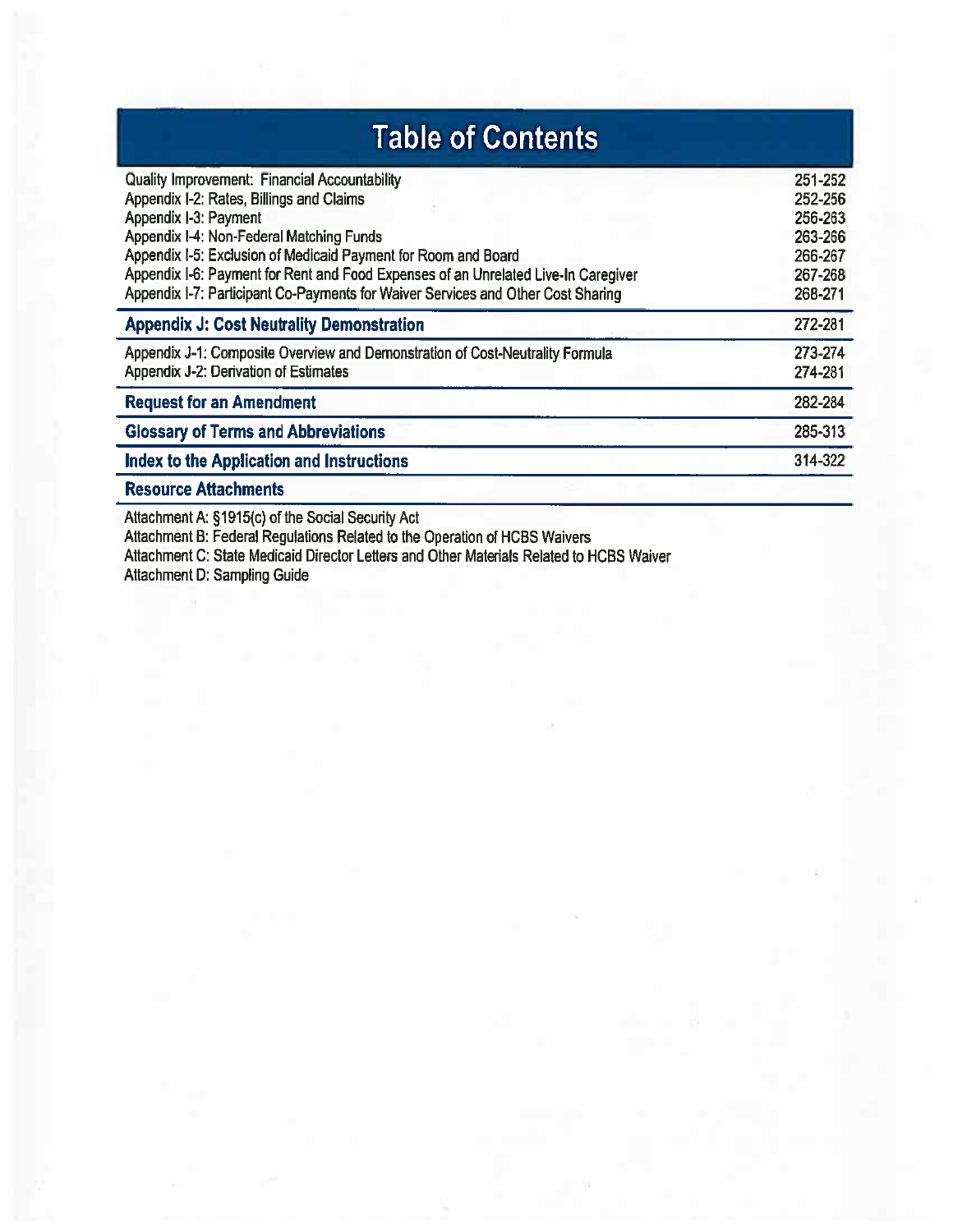| <b>Table of Contents</b>                                                                                                                                                                                                                                                                                                                                                                                          |                                                                           |
|-------------------------------------------------------------------------------------------------------------------------------------------------------------------------------------------------------------------------------------------------------------------------------------------------------------------------------------------------------------------------------------------------------------------|---------------------------------------------------------------------------|
| <b>Quality Improvement: Financial Accountability</b><br>Appendix I-2: Rates, Billings and Claims<br>Appendix I-3: Payment<br>Appendix I-4: Non-Federal Matching Funds<br>Appendix I-5: Exclusion of Medicaid Payment for Room and Board<br>Appendix I-6: Payment for Rent and Food Expenses of an Unrelated Live-In Caregiver<br>Appendix I-7: Participant Co-Payments for Waiver Services and Other Cost Sharing | 251-252<br>252-256<br>256-263<br>263-266<br>266-267<br>267-268<br>268-271 |
| <b>Appendix J: Cost Neutrality Demonstration</b>                                                                                                                                                                                                                                                                                                                                                                  | 272-281                                                                   |
| Appendix J-1: Composite Overview and Demonstration of Cost-Neutrality Formula<br>Appendix J-2: Derivation of Estimates                                                                                                                                                                                                                                                                                            | 273-274<br>274-281                                                        |
| <b>Request for an Amendment</b>                                                                                                                                                                                                                                                                                                                                                                                   | 282-284                                                                   |
| <b>Glossary of Terms and Abbreviations</b>                                                                                                                                                                                                                                                                                                                                                                        | 285-313                                                                   |
| Index to the Application and Instructions                                                                                                                                                                                                                                                                                                                                                                         | 314-322                                                                   |
| <b>Resource Attachments</b>                                                                                                                                                                                                                                                                                                                                                                                       |                                                                           |

Attachment A: §1915(c) of the Social Security Act<br>Attachment B: Federal Regulations Related to the Operation of HCBS Waivers<br>Attachment C: State Medicaid Director Letters and Other Materials Related to HCBS Waiver<br>Attachme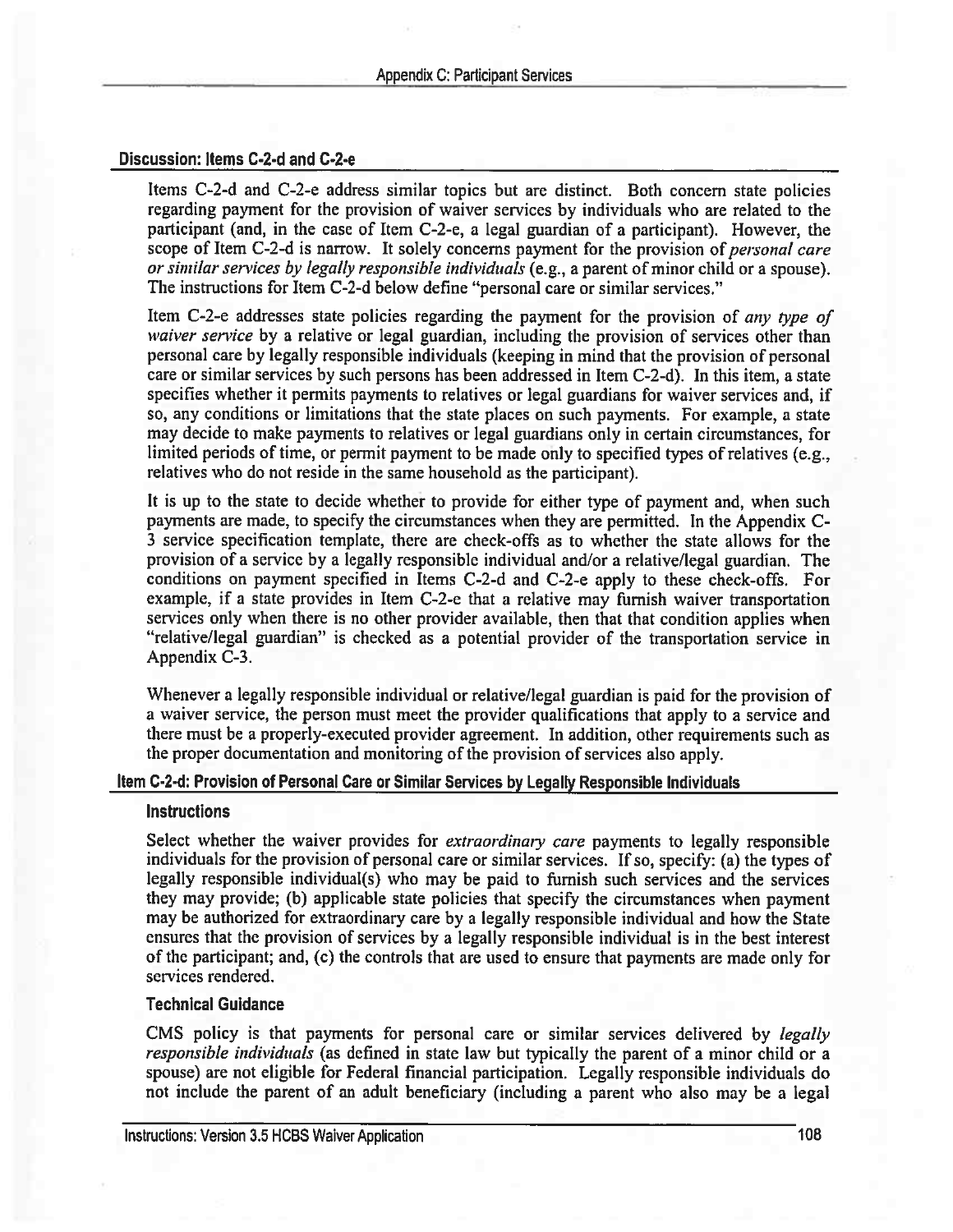#### Discussion: Items C-2-d and C-2-e

Items C-2-d and C-2-e address similar topics but are distinct. Both concern state policies regarding payment for the provision of waiver services by individuals who are related to the participant (and, in the case of Item C-2-e, a legal guardian of a participant). However, the scope of Item C-2-d is narrow. It solely concerns payment for the provision of *personal care* or similar services by legally responsible individuals (e.g., a parent of minor child or a spouse). The instructions for Item C-2-d below define "personal care or similar services."

Item C-2-e addresses state policies regarding the payment for the provision of *any type of waiver service* by a relative or legal guardian, including the provision of services other than personal care by legally responsible individuals (keeping in mind that the provision of personal care or similar services by such persons has been addressed in Item C-2-d). In this item, a state specifies whether it permits payments to relatives or legal guardians for waiver services and, if so, any conditions or limitations that the state places on such payments. For example, a state may decide to make payments to relatives or legal guardians only in certain circumstances, for limited periods of time, or permit payment to be made only to specified types of relatives (e.g., relatives who do not reside in the same household as the participant).

It is up to the state to decide whether to provide for either type of payment and, when such payments are made, to specify the circumstances when they are permitted. In the Appendix C-3 service specification template, there are check-offs as to whether the state allows for the provision of a service by a legally responsible individual and/or a relative/legal guardian. The conditions on payment specified in Items C-2-d and C-2-e apply to these check-offs. For example, if a state provides in Item C-2-e that a relative may furnish waiver transportation services only when there is no other provider available, then that that condition applies when "relative/legal guardian" is checked as a potential provider of the transportation service in Appendix C-3.

Whenever a legally responsible individual or relative/legal guardian is paid for the provision of a waiver service, the person must meet the provider qualifications that apply to a service and there must be a properly-executed provider agreement. In addition, other requirements such as the proper documentation and monitoring of the provision of services also apply.

#### Item C-2-d: Provision of Personal Care or Similar Services by Legally Responsible Individuals

#### **Instructions**

Select whether the waiver provides for *extraordinary care* payments to legally responsible individuals for the provision of personal care or similar services. If so, specify: (a) the types of legally responsible individual(s) who may be paid to furnish such services and the services they may provide; (b) applicable state policies that specify the circumstances when payment may be authorized for extraordinary care by a legally responsible individual and how the State ensures that the provision of services by a legally responsible individual is in the best interest of the participant; and, (c) the controls that are used to ensure that payments are made only for services rendered.

## **Technical Guidance**

CMS policy is that payments for personal care or similar services delivered by *legally* responsible individuals (as defined in state law but typically the parent of a minor child or a spouse) are not eligible for Federal financial participation. Legally responsible individuals do not include the parent of an adult beneficiary (including a parent who also may be a legal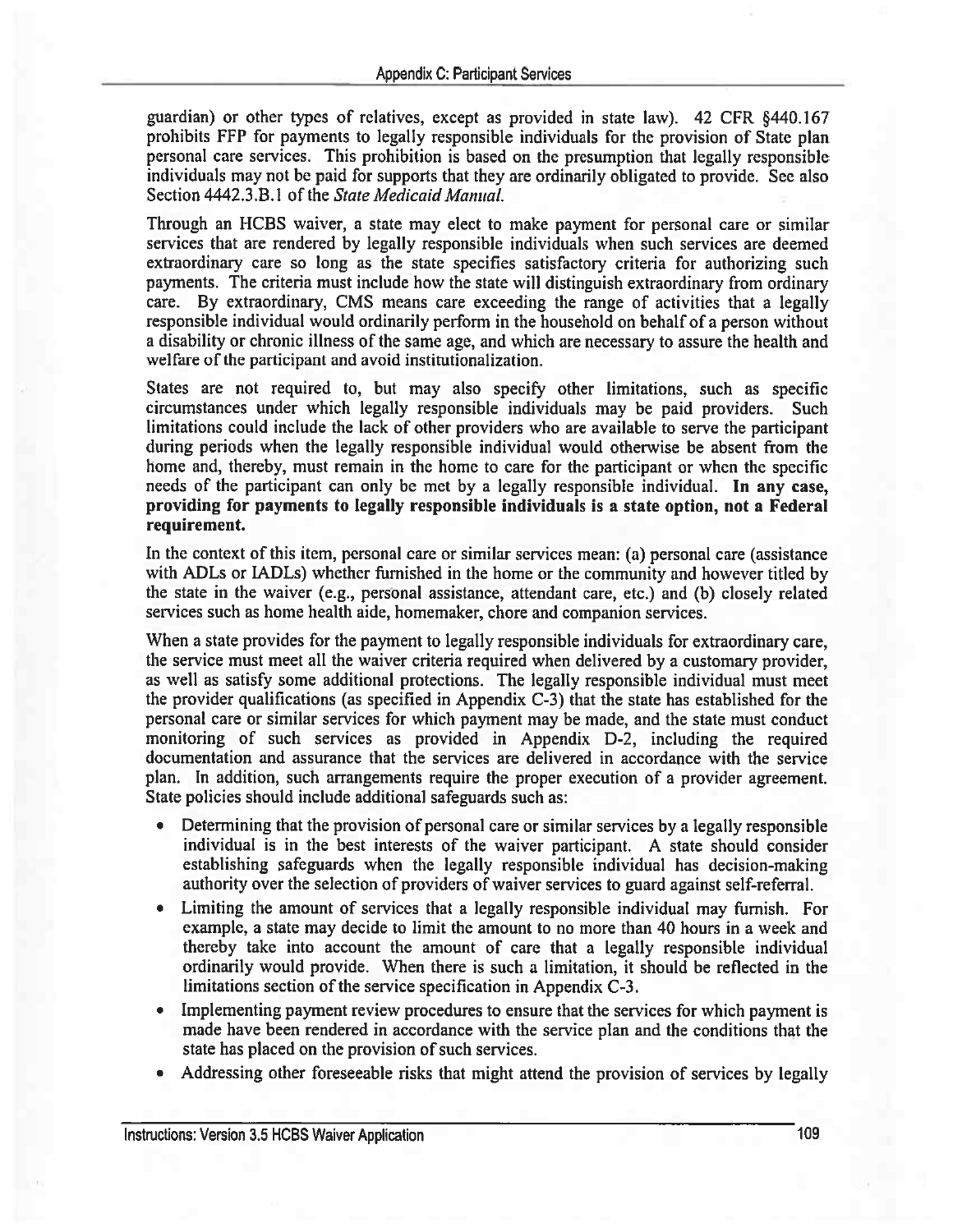guardian) or other types of relatives, except as provided in state law). 42 CFR §440.167 prohibits FFP for payments to legally responsible individuals for the provision of State plan personal care services. This prohibition is based on the presumption that legally responsible individuals may not be paid for supports that they are ordinarily obligated to provide. See also Section 4442.3.B.1 of the State Medicaid Manual.

Through an HCBS waiver, a state may elect to make payment for personal care or similar services that are rendered by legally responsible individuals when such services are deemed extraordinary care so long as the state specifies satisfactory criteria for authorizing such payments. The criteria must include how the state will distinguish extraordinary from ordinary care. By extraordinary, CMS means care exceeding the range of activities that a legally responsible individual would ordinarily perform in the household on behalf of a person without a disability or chronic illness of the same age, and which are necessary to assure the health and welfare of the participant and avoid institutionalization.

States are not required to, but may also specify other limitations, such as specific circumstances under which legally responsible individuals may be paid providers. Such limitations could include the lack of other providers who are available to serve the participant during periods when the legally responsible individual would otherwise be absent from the home and, thereby, must remain in the home to care for the participant or when the specific needs of the participant can only be met by a legally responsible individual. In any case, providing for payments to legally responsible individuals is a state option, not a Federal requirement.

In the context of this item, personal care or similar services mean: (a) personal care (assistance with ADLs or IADLs) whether furnished in the home or the community and however titled by the state in the waiver (e.g., personal assistance, attendant care, etc.) and (b) closely related services such as home health aide, homemaker, chore and companion services.

When a state provides for the payment to legally responsible individuals for extraordinary care, the service must meet all the waiver criteria required when delivered by a customary provider, as well as satisfy some additional protections. The legally responsible individual must meet the provider qualifications (as specified in Appendix C-3) that the state has established for the personal care or similar services for which payment may be made, and the state must conduct monitoring of such services as provided in Appendix D-2, including the required documentation and assurance that the services are delivered in accordance with the service plan. In addition, such arrangements require the proper execution of a provider agreement. State policies should include additional safeguards such as:

- Determining that the provision of personal care or similar services by a legally responsible individual is in the best interests of the waiver participant. A state should consider establishing safeguards when the legally responsible individual has decision-making authority over the selection of providers of waiver services to guard against self-referral.
- Limiting the amount of services that a legally responsible individual may furnish. For example, a state may decide to limit the amount to no more than 40 hours in a week and thereby take into account the amount of care that a legally responsible individual ordinarily would provide. When there is such a limitation, it should be reflected in the limitations section of the service specification in Appendix C-3.
- Implementing payment review procedures to ensure that the services for which payment is made have been rendered in accordance with the service plan and the conditions that the state has placed on the provision of such services.
- Addressing other foreseeable risks that might attend the provision of services by legally